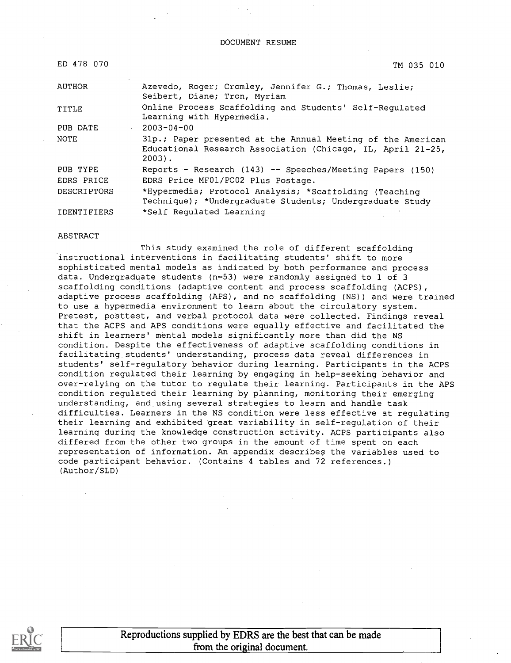DOCUMENT RESUME

| ED 478 070         | TM 035 010                                                                                                                             |
|--------------------|----------------------------------------------------------------------------------------------------------------------------------------|
| AUTHOR             | Azevedo, Roger; Cromley, Jennifer G.; Thomas, Leslie;<br>Seibert, Diane; Tron, Myriam                                                  |
| TITLE              | Online Process Scaffolding and Students' Self-Requlated<br>Learning with Hypermedia.                                                   |
| PUB DATE           | $-2003 - 04 - 00$                                                                                                                      |
| NOTE               | 31p.; Paper presented at the Annual Meeting of the American<br>Educational Research Association (Chicago, IL, April 21-25,<br>$2003$ . |
| PUB TYPE           | Reports - Research (143) -- Speeches/Meeting Papers (150)                                                                              |
| EDRS PRICE         | EDRS Price MF01/PC02 Plus Postage.                                                                                                     |
| <b>DESCRIPTORS</b> | *Hypermedia; Protocol Analysis; *Scaffolding (Teaching<br>Technique); *Undergraduate Students; Undergraduate Study                     |
| IDENTIFIERS        | *Self Regulated Learning                                                                                                               |

#### ABSTRACT

This study examined the role of different scaffolding instructional interventions in facilitating students' shift to more sophisticated mental models as indicated by both performance and process data. Undergraduate students (n=53) were randomly assigned to 1 of 3 scaffolding conditions (adaptive content and process scaffolding (ACPS), adaptive process scaffolding (APS), and no scaffolding (NS)) and were trained to use a hypermedia environment to learn about the circulatory system. Pretest, posttest, and verbal protocol data were collected. Findings reveal that the ACPS and APS conditions were equally effective and facilitated the shift in learners' mental models significantly more than did the NS condition. Despite the effectiveness of adaptive scaffolding conditions in facilitating students' understanding, process data reveal differences in students' self-regulatory behavior during learning. Participants in the ACPS condition regulated their learning by engaging in help-seeking behavior and over-relying on the tutor to regulate their learning. Participants in the APS condition regulated their learning by planning, monitoring their emerging understanding, and using several strategies to learn and handle task difficulties. Learners in the NS condition were less effective at regulating their learning and exhibited great variability in self-regulation of their learning during the knowledge construction activity. ACPS participants also differed from the other two groups in the amount of time spent on each representation of information. An appendix describes the variables used to code participant behavior. (Contains 4 tables and 72 references.) (Author/SLD)



Reproductions supplied by EDRS are the best that can be made from the original document.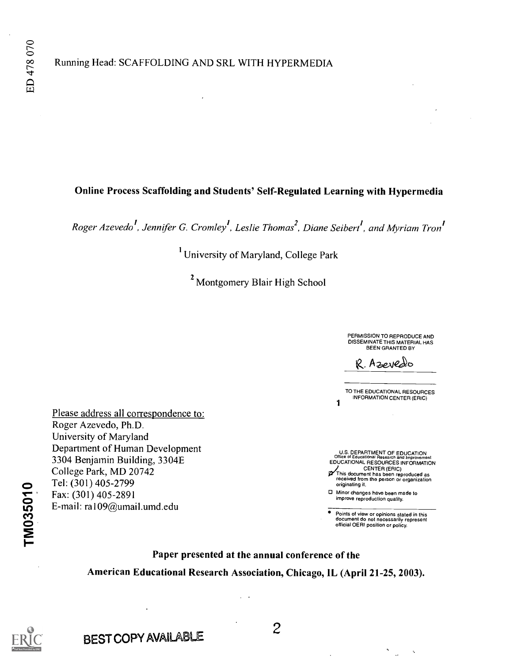# Online Process Scaffolding and Students' Self-Regulated Learning with Hypermedia

Roger Azevedo<sup>1</sup>, Jennifer G. Cromley<sup>1</sup>, Leslie Thomas<sup>2</sup>, Diane Seibert<sup>1</sup>, and Myriam Tron<sup>1</sup>

<sup>1</sup> University of Maryland, College Park

<sup>2</sup> Montgomery Blair High School

PERMISSION TO REPRODUCE AND DISSEMINATE THIS MATERIAL HAS<br>BEEN GRANTED BY

R. Azeredo

TO THE EDUCATIONAL RESOURCES INFORMATION CENTER (ERIC) 1

U.S. DEPARTMENT OF EDUCATION<br>Office of Educational Research and Improvement<br>EDUCATIONAL RESOURCES INFORMATION

CENTER (ERIC) This document has been reproduced as received from the person or organization originating it.

0 Minor changes have been made to improve reproduction quality.

Points of view or opinions stated in this document do not necessarily represent official OERI position or policy.

 $\ddot{\phantom{1}}$ 

 $\ddotsc$ 

 $\frac{\text{Coneg } \cdot \text{rank}, \text{mb } 20 \cdot \text{ln}}{\text{Fow } (201) \cdot 405.2799}$ Fax:  $(301)$  405-2891<br>E-mail: ra109@umail.umd.edu Please address all correspondence to: Roger Azevedo, Ph.D. University of Maryland Department of Human Development 3304 Benjamin Building, 3304E College Park, MD 20742 Fax: (301) 405-2891

Paper presented at the annual conference of the

American Educational Research Association, Chicago, IL (April 21-25, 2003).

TM035010

BEST COPY AVAILABLE

2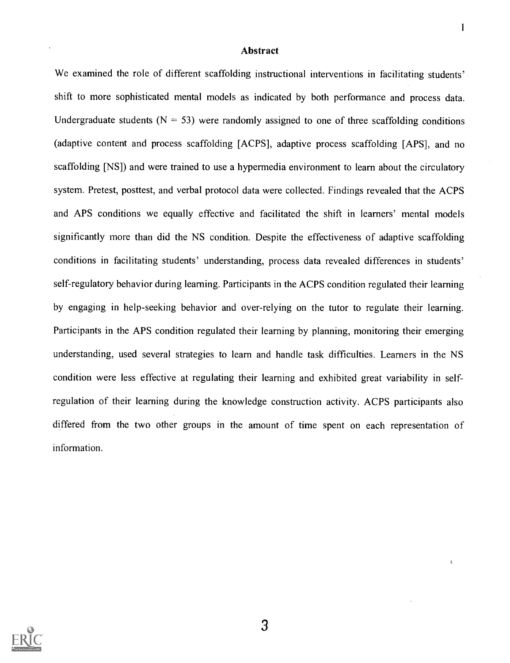#### Abstract

We examined the role of different scaffolding instructional interventions in facilitating students' shift to more sophisticated mental models as indicated by both performance and process data. Undergraduate students ( $N = 53$ ) were randomly assigned to one of three scaffolding conditions (adaptive content and process scaffolding [ACPS], adaptive process scaffolding [APS], and no scaffolding [NS]) and were trained to use a hypermedia environment to learn about the circulatory system. Pretest, posttest, and verbal protocol data were collected. Findings revealed that the ACPS and APS conditions we equally effective and facilitated the shift in learners' mental models significantly more than did the NS condition. Despite the effectiveness of adaptive scaffolding conditions in facilitating students' understanding, process data revealed differences in students' self-regulatory behavior during learning. Participants in the ACPS condition regulated their learning by engaging in help-seeking behavior and over-relying on the tutor to regulate their learning. Participants in the APS condition regulated their learning by planning, monitoring their emerging understanding, used several strategies to learn and handle task difficulties. Learners in the NS condition were less effective at regulating their learning and exhibited great variability in selfregulation of their learning during the knowledge construction activity. ACPS participants also differed from the two other groups in the amount of time spent on each representation of information.



3

 $\mathbf{I}$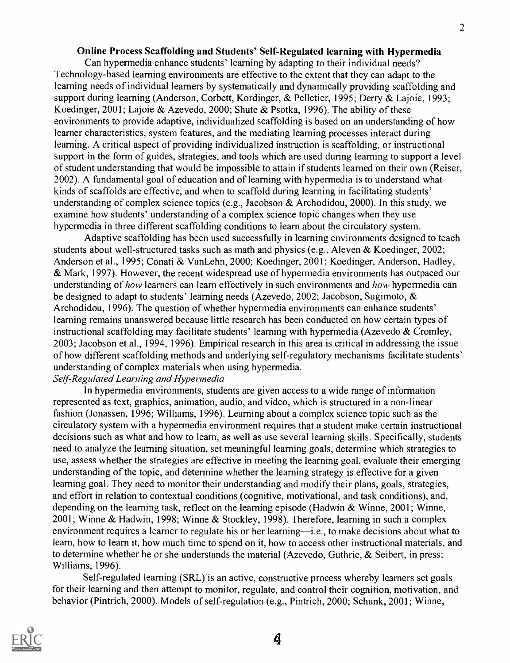#### Online Process Scaffolding and Students' Self-Regulated learning with Hypermedia

Can hypermedia enhance students' learning by adapting to their individual needs? Technology-based learning environments are effective to the extent that they can adapt to the learning needs of individual learners by systematically and dynamically providing scaffolding and support during learning (Anderson, Corbett, Kordinger, & Pelletier, 1995; Derry & Lajoie, 1993; Koedinger, 2001; Lajoie & Azevedo, 2000; Shute & Psotka, 1996). The ability of these environments to provide adaptive, individualized scaffolding is based on an understanding of how learner characteristics, system features, and the mediating learning processes interact during learning. A critical aspect of providing individualized instruction is scaffolding, or instructional support in the form of guides, strategies, and tools which are used during learning to support a level of student understanding that would be impossible to attain if students learned on their own (Reiser, 2002). A fundamental goal of education and of learning with hypermedia is to understand what kinds of scaffolds are effective, and when to scaffold during learning in facilitating students' understanding of complex science topics (e.g., Jacobson  $\&$  Archodidou, 2000). In this study, we examine how students' understanding of a complex science topic changes when they use hypermedia in three different scaffolding conditions to learn about the circulatory system.

Adaptive scaffolding has been used successfully in learning environments designed to teach students about well-structured tasks such as math and physics (e.g., Aleven & Koedinger, 2002; Anderson et al., 1995; Conati & VanLehn, 2000; Koedinger, 2001; Koedinger, Anderson, Hadley, & Mark, 1997). However, the recent widespread use of hypermedia environments has outpaced our understanding of how learners can learn effectively in such environments and how hypermedia can be designed to adapt to students' learning needs (Azevedo, 2002; Jacobson, Sugimoto, & Archodidou, 1996). The question of whether hypermedia environments can enhance students' learning remains unanswered because little research has been conducted on how certain types of instructional scaffolding may facilitate students' learning with hypermedia (Azevedo & Cromley, 2003; Jacobson et al., 1994, 1996). Empirical research in this area is critical in addressing the issue of how different scaffolding methods and underlying self-regulatory mechanisms facilitate students' understanding of complex materials when using hypermedia.

# Self-Regulated Learning and Hypermedia

In hypermedia environments, students are given access to a wide range of information represented as text, graphics, animation, audio, and video, which is structured in a non-linear fashion (Jonassen, 1996; Williams, 1996). Learning about a complex science topic such as the circulatory system with a hypermedia environment requires that a student make certain instructional decisions such as what and how to learn, as well as use several learning skills. Specifically, students need to analyze the learning situation, set meaningful learning goals, determine which strategies to use, assess whether the strategies are effective in meeting the learning goal, evaluate their emerging understanding of the topic, and determine whether the learning strategy is effective for a given learning goal. They need to monitor their understanding and modify their plans, goals, strategies, and effort in relation to contextual conditions (cognitive, motivational, and task conditions), and, depending on the learning task, reflect on the learning episode (Hadwin & Winne, 2001; Winne, 2001; Winne & Hadwin, 1998; Winne & Stockley, 1998). Therefore, learning in such a complex environment requires a learner to regulate his or her learning—i.e., to make decisions about what to learn, how to learn it, how much time to spend on it, how to access other instructional materials, and to determine whether he or she understands the material (Azevedo, Guthrie, & Seibert, in press; Williams, 1996).

Self-regulated learning (SRL) is an active, constructive process whereby learners set goals for their learning and then attempt to monitor, regulate, and control their cognition, motivation, and behavior (Pintrich, 2000). Models of self-regulation (e.g., Pintrich, 2000; Schunk, 2001; Winne,



4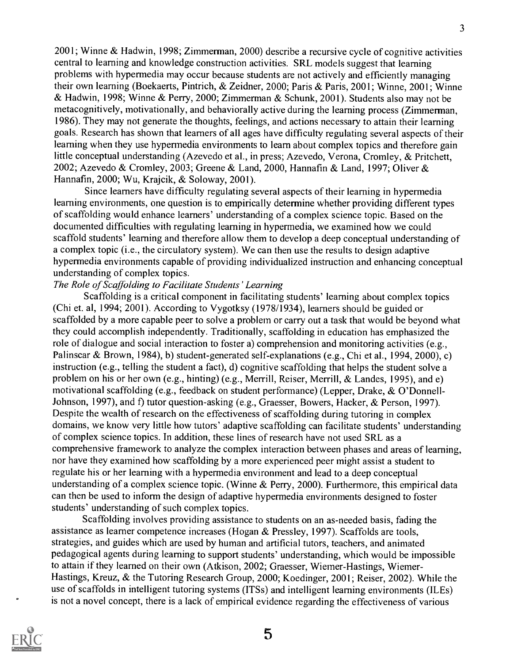2001; Winne & Hadwin, 1998; Zimmerman, 2000) describe a recursive cycle of cognitive activities central to learning and knowledge construction activities. SRL models suggest that learning problems with hypermedia may occur because students are not actively and efficiently managing their own learning (Boekaerts, Pintrich, & Zeidner, 2000; Paris & Paris, 2001; Winne, 2001; Winne & Hadwin, 1998; Winne & Perry, 2000; Zimmerman & Schunk, 2001). Students also may not be metacognitively, motivationally, and behaviorally active during the learning process (Zimmerman, 1986). They may not generate the thoughts, feelings, and actions necessary to attain their learning goals. Research has shown that learners of all ages have difficulty regulating several aspects of their learning when they use hypermedia environments to learn about complex topics and therefore gain little conceptual understanding (Azevedo et al., in press; Azevedo, Verona, Cromley, & Pritchett, 2002; Azevedo & Cromley, 2003; Greene & Land, 2000, Hannafin & Land, 1997; Oliver & Hannafin, 2000; Wu, Krajcik, & Soloway, 2001).

Since learners have difficulty regulating several aspects of their learning in hypermedia learning environments, one question is to empirically determine whether providing different types of scaffolding would enhance learners' understanding of a complex science topic. Based on the documented difficulties with regulating learning in hypermedia, we examined how we could scaffold students' learning and therefore allow them to develop a deep conceptual understanding of a complex topic (i.e., the circulatory system). We can then use the results to design adaptive hypermedia environments capable of providing individualized instruction and enhancing conceptual understanding of complex topics.

#### The Role of Scaffolding to Facilitate Students' Learning

Scaffolding is a critical component in facilitating students' learning about complex topics (Chi et. al, 1994; 2001). According to Vygotksy (1978/1934), learners should be guided or scaffolded by a more capable peer to solve a problem or carry out a task that would be beyond what they could accomplish independently. Traditionally, scaffolding in education has emphasized the role of dialogue and social interaction to foster a) comprehension and monitoring activities (e.g., Palinscar & Brown, 1984), b) student-generated self-explanations (e.g., Chi et al., 1994, 2000), c) instruction (e.g., telling the student a fact), d) cognitive scaffolding that helps the student solve a problem on his or her own (e.g., hinting) (e.g., Merrill, Reiser, Merrill, & Landes, 1995), and e) motivational scaffolding (e.g., feedback on student performance) (Lepper, Drake, & O'Donnell-Johnson, 1997), and f) tutor question-asking (e.g., Graesser, Bowers, Hacker, & Person, 1997). Despite the wealth of research on the effectiveness of scaffolding during tutoring in complex domains, we know very little how tutors' adaptive scaffolding can facilitate students' understanding of complex science topics. In addition, these lines of research have not used SRL as a comprehensive framework to analyze the complex interaction between phases and areas of learning, nor have they examined how scaffolding by a more experienced peer might assist a student to regulate his or her learning with a hypermedia environment and lead to a deep conceptual understanding of a complex science topic. (Winne & Perry, 2000). Furthermore, this empirical data can then be used to inform the design of adaptive hypermedia environments designed to foster students' understanding of such complex topics.

Scaffolding involves providing assistance to students on an as-needed basis, fading the assistance as learner competence increases (Hogan & Pressley, 1997). Scaffolds are tools, strategies, and guides which are used by human and artificial tutors, teachers, and animated pedagogical agents during learning to support students' understanding, which would be impossible to attain if they learned on their own (Atkison, 2002; Graesser, Wiemer-Hastings, Wiemer-Hastings, Kreuz, & the Tutoring Research Group, 2000; Koedinger, 2001; Reiser, 2002). While the use of scaffolds in intelligent tutoring systems (ITSs) and intelligent learning environments (ILEs) is not a novel concept, there is a lack of empirical evidence regarding the effectiveness of various

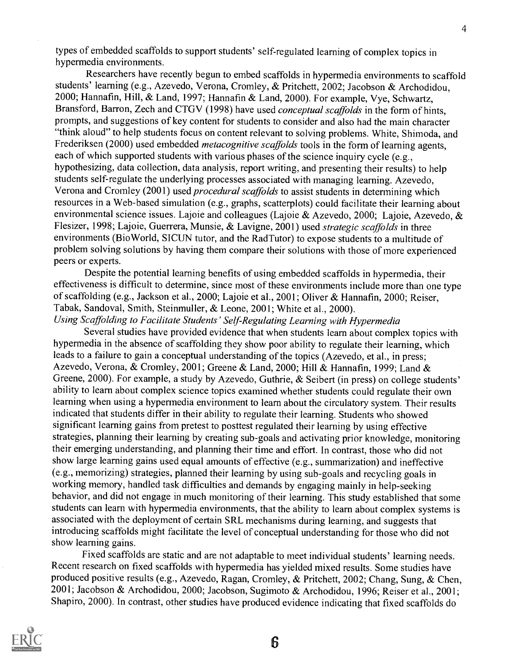types of embedded scaffolds to support students' self-regulated learning of complex topics in hypermedia environments.

Researchers have recently begun to embed scaffolds in hypermedia environments to scaffold students' learning (e.g., Azevedo, Verona, Cromley, & Pritchett, 2002; Jacobson & Archodidou, 2000; Hannafin, Hill, & Land, 1997; Hannafin & Land, 2000). For example, Vye, Schwartz, Bransford, Barron, Zech and CTGV (1998) have used *conceptual scaffolds* in the form of hints, prompts, and suggestions of key content for students to consider and also had the main character "think aloud" to help students focus on content relevant to solving problems. White, Shimoda, and Frederiksen (2000) used embedded *metacognitive scaffolds* tools in the form of learning agents, each of which supported students with various phases of the science inquiry cycle (e.g., hypothesizing, data collection, data analysis, report writing, and presenting their results) to help students self-regulate the underlying processes associated with managing learning. Azevedo, Verona and Cromley (2001) used *procedural scaffolds* to assist students in determining which resources in a Web-based simulation (e.g., graphs, scatterplots) could facilitate their learning about environmental science issues. Lajoie and colleagues (Lajoie & Azevedo, 2000; Lajoie, Azevedo, & Flesizer, 1998; Lajoie, Guerrera, Munsie, & Lavigne, 2001) used strategic scaffolds in three environments (BioWorld, SICUN tutor, and the RadTutor) to expose students to a multitude of problem solving solutions by having them compare their solutions with those of more experienced peers or experts.

Despite the potential learning benefits of using embedded scaffolds in hypermedia, their effectiveness is difficult to determine, since most of these environments include more than one type of scaffolding (e.g., Jackson et al., 2000; Lajoie et al., 2001; Oliver & Hannafin, 2000; Reiser, Tabak, Sandoval, Smith, Steinmuller, & Leone, 2001; White et al., 2000).

Using Scaffolding to Facilitate Students' Self Regulating Learning with Hypermedia

Several studies have provided evidence that when students learn about complex topics with hypermedia in the absence of scaffolding they show poor ability to regulate their learning, which leads to a failure to gain a conceptual understanding of the topics (Azevedo, et al., in press; Azevedo, Verona, & Cromley, 2001; Greene & Land, 2000; Hill & Hannafin, 1999; Land & Greene, 2000). For example, a study by Azevedo, Guthrie, & Seibert (in press) on college students' ability to learn about complex science topics examined whether students could regulate their own learning when using a hypermedia environment to learn about the circulatory system. Their results indicated that students differ in their ability to regulate their learning. Students who showed significant learning gains from pretest to posttest regulated their learning by using effective strategies, planning their learning by creating sub-goals and activating prior knowledge, monitoring their emerging understanding, and planning their time and effort. In contrast, those who did not show large learning gains used equal amounts of effective (e.g., summarization) and ineffective (e.g., memorizing) strategies, planned their learning by using sub-goals and recycling goals in working memory, handled task difficulties and demands by engaging mainly in help-seeking behavior, and did not engage in much monitoring of their learning. This study established that some students can learn with hypermedia environments, that the ability to learn about complex systems is associated with the deployment of certain SRL mechanisms during learning, and suggests that introducing scaffolds might facilitate the level of conceptual understanding for those who did not show learning gains.

Fixed scaffolds are static and are not adaptable to meet individual students' learning needs. Recent research on fixed scaffolds with hypermedia has yielded mixed results. Some studies have produced positive results (e.g., Azevedo, Ragan, Cromley, & Pritchett, 2002; Chang, Sung, & Chen, 2001; Jacobson & Archodidou, 2000; Jacobson, Sugimoto & Archodidou, 1996; Reiser et al., 2001; Shapiro, 2000). In contrast, other studies have produced evidence indicating that fixed scaffolds do

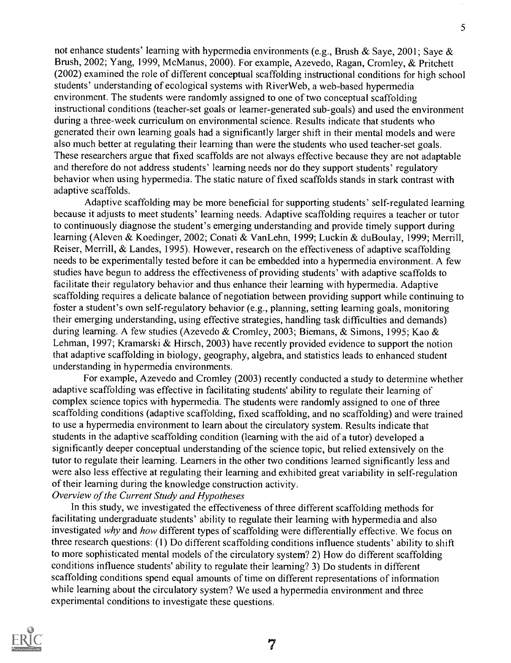not enhance students' learning with hypermedia environments (e.g., Brush & Saye, 2001; Saye & Brush, 2002; Yang, 1999, McManus, 2000). For example, Azevedo, Ragan, Cromley, & Pritchett (2002) examined the role of different conceptual scaffolding instructional conditions for high school students' understanding of ecological systems with RiverWeb, a web-based hypermedia environment. The students were randomly assigned to one of two conceptual scaffolding instructional conditions (teacher-set goals or learner-generated sub-goals) and used the environment during a three-week curriculum on environmental science. Results indicate that students who generated their own learning goals had a significantly larger shift in their mental models and were also much better at regulating their learning than were the students who used teacher-set goals. These researchers argue that fixed scaffolds are not always effective because they are not adaptable and therefore do not address students' learning needs nor do they support students' regulatory behavior when using hypermedia. The static nature of fixed scaffolds stands in stark contrast with adaptive scaffolds.

Adaptive scaffolding may be more beneficial for supporting students' self-regulated learning because it adjusts to meet students' learning needs. Adaptive scaffolding requires a teacher or tutor to continuously diagnose the student's emerging understanding and provide timely support during learning (Aleven & Koedinger, 2002; Conati & VanLehn, 1999; Luckin & duBoulay, 1999; Merrill, Reiser, Merrill, & Landes, 1995). However, research on the effectiveness of adaptive scaffolding needs to be experimentally tested before it can be embedded into a hypermedia environment. A few studies have begun to address the effectiveness of providing students' with adaptive scaffolds to facilitate their regulatory behavior and thus enhance their learning with hypermedia. Adaptive scaffolding requires a delicate balance of negotiation between providing support while continuing to foster a student's own self-regulatory behavior (e.g., planning, setting learning goals, monitoring their emerging understanding, using effective strategies, handling task difficulties and demands) during learning. A few studies (Azevedo & Cromley, 2003; Biemans, & Simons, 1995; Kao & Lehman, 1997; Kramarski & Hirsch, 2003) have recently provided evidence to support the notion that adaptive scaffolding in biology, geography, algebra, and statistics leads to enhanced student understanding in hypermedia environments.

For example, Azevedo and Cromley (2003) recently conducted a study to determine whether adaptive scaffolding was effective in facilitating students' ability to regulate their learning of complex science topics with hypermedia. The students were randomly assigned to one of three scaffolding conditions (adaptive scaffolding, fixed scaffolding, and no scaffolding) and were trained to use a hypermedia environment to learn about the circulatory system. Results indicate that students in the adaptive scaffolding condition (learning with the aid of a tutor) developed a significantly deeper conceptual understanding of the science topic, but relied extensively on the tutor to regulate their learning. Learners in the other two conditions learned significantly less and were also less effective at regulating their learning and exhibited great variability in self-regulation of their learning during the knowledge construction activity.

# Overview of the Current Study and Hypotheses

In this study, we investigated the effectiveness of three different scaffolding methods for facilitating undergraduate students' ability to regulate their learning with hypermedia and also investigated why and how different types of scaffolding were differentially effective. We focus on three research questions: (1) Do different scaffolding conditions influence students' ability to shift to more sophisticated mental models of the circulatory system? 2) How do different scaffolding conditions influence students' ability to regulate their learning? 3) Do students in different scaffolding conditions spend equal amounts of time on different representations of information while learning about the circulatory system? We used a hypermedia environment and three experimental conditions to investigate these questions.



5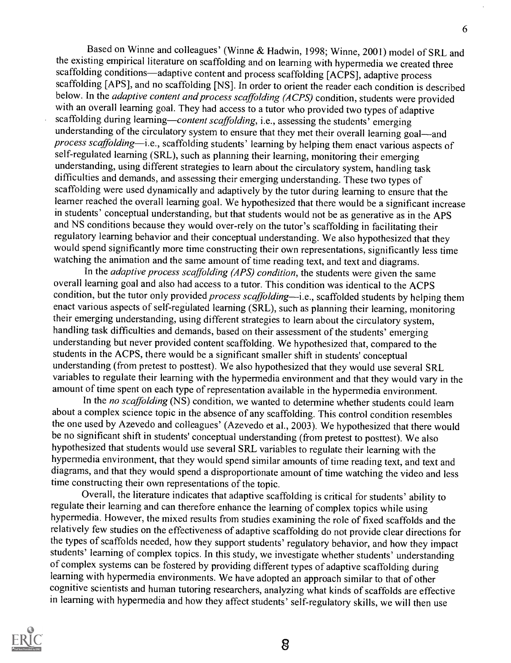Based on Winne and colleagues' (Winne & Hadwin, 1998; Winne, 2001) model of SRL and the existing empirical literature on scaffolding and on learning with hypermedia we created three scaffolding conditions—adaptive content and process scaffolding [ACPS], adaptive process scaffolding [APS], and no scaffolding [NS]. In order to orient the reader each condition is described below. In the *adaptive content and process scaffolding (ACPS)* condition, students were provided with an overall learning goal. They had access to a tutor who provided two types of adaptive scaffolding during learning—content scaffolding, i.e., assessing the students' emerging understanding of the circulatory system to ensure that they met their overall learning goal—and process scaffolding-i.e., scaffolding students' learning by helping them enact various aspects of self-regulated learning (SRL), such as planning their learning, monitoring their emerging understanding, using different strategies to learn about the circulatory system, handling task difficulties and demands, and assessing their emerging understanding. These two types of scaffolding were used dynamically and adaptively by the tutor during learning to ensure that the learner reached the overall learning goal. We hypothesized that there would be a significant increase in students' conceptual understanding, but that students would not be as generative as in the APS and NS conditions because they would over-rely on the tutor's scaffolding in facilitating their regulatory learning behavior and their conceptual understanding. We also hypothesized that they would spend significantly more time constructing their own representations, significantly less time watching the animation and the same amount of time reading text, and text and diagrams.

In the *adaptive process scaffolding (APS) condition*, the students were given the same overall learning goal and also had access to a tutor. This condition was identical to the ACPS condition, but the tutor only provided process scaffolding—i.e., scaffolded students by helping them enact various aspects of self-regulated learning (SRL), such as planning their learning, monitoring their emerging understanding, using different strategies to learn about the circulatory system, handling task difficulties and demands, based on their assessment of the students' emerging understanding but never provided content scaffolding. We hypothesized that, compared to the students in the ACPS, there would be a significant smaller shift in students' conceptual understanding (from pretest to posttest). We also hypothesized that they would use several SRL variables to regulate their learning with the hypermedia environment and that they would vary in the amount of time spent on each type of representation available in the hypermedia environment.

In the no scaffolding (NS) condition, we wanted to determine whether students could learn about a complex science topic in the absence of any scaffolding. This control condition resembles the one used by Azevedo and colleagues' (Azevedo et al., 2003). We hypothesized that there would be no significant shift in students' conceptual understanding (from pretest to posttest). We also hypothesized that students would use several SRL variables to regulate their learning with the hypermedia environment, that they would spend similar amounts of time reading text, and text and diagrams, and that they would spend a disproportionate amount of time watching the video and less time constructing their own representations of the topic.

Overall, the literature indicates that adaptive scaffolding is critical for students' ability to regulate their learning and can therefore enhance the learning of complex topics while using hypermedia. However, the mixed results from studies examining the role of fixed scaffolds and the relatively few studies on the effectiveness of adaptive scaffolding do not provide clear directions for the types of scaffolds needed, how they support students' regulatory behavior, and how they impact students' learning of complex topics. In this study, we investigate whether students' understanding of complex systems can be fostered by providing different types of adaptive scaffolding during learning with hypermedia environments. We have adopted an approach similar to that of other cognitive scientists and human tutoring researchers, analyzing what kinds of scaffolds are effective in learning with hypermedia and how they affect students' self-regulatory skills, we will then use



6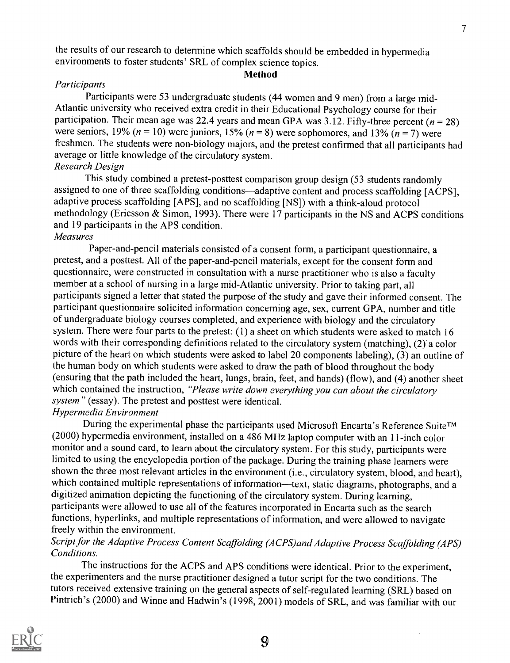the results of our research to determine which scaffolds should be embedded in hypermedia environments to foster students' SRL of complex science topics.

#### Method

#### **Participants**

Participants were 53 undergraduate students (44 women and 9 men) from a large mid-Atlantic university who received extra credit in their Educational Psychology course for their participation. Their mean age was 22.4 years and mean GPA was 3.12. Fifty-three percent ( $n = 28$ ) were seniors, 19% ( $n = 10$ ) were juniors, 15% ( $n = 8$ ) were sophomores, and 13% ( $n = 7$ ) were freshmen. The students were non-biology majors, and the pretest confirmed that all participants had average or little knowledge of the circulatory system.

# Research Design

This study combined a pretest-posttest comparison group design (53 students randomly assigned to one of three scaffolding conditions—adaptive content and process scaffolding [ACPS], adaptive process scaffolding [APS], and no scaffolding [NS]) with a think-aloud protocol methodology (Ericsson & Simon, 1993). There were 17 participants in the NS and ACPS conditions and 19 participants in the APS condition.

#### Measures

Paper-and-pencil materials consisted of a consent form, a participant questionnaire, a pretest, and a posttest. All of the paper-and-pencil materials, except for the consent form and questionnaire, were constructed in consultation with a nurse practitioner who is also a faculty member at a school of nursing in a large mid-Atlantic university. Prior to taking part, all participants signed a letter that stated the purpose of the study and gave their informed consent. The participant questionnaire solicited information concerning age, sex, current GPA, number and title of undergraduate biology courses completed, and experience with biology and the circulatory system. There were four parts to the pretest: (1) a sheet on which students were asked to match 16 words with their corresponding definitions related to the circulatory system (matching), (2) a color picture of the heart on which students were asked to label 20 components labeling), (3) an outline of the human body on which students were asked to draw the path of blood throughout the body (ensuring that the path included the heart, lungs, brain, feet, and hands) (flow), and (4) another sheet which contained the instruction, "*Please write down everything you can about the circulatory* system" (essay). The pretest and posttest were identical.

### Hypermedia Environment

During the experimental phase the participants used Microsoft Encarta's Reference Suite™ (2000) hypermedia environment, installed on a 486 MHz laptop computer with an 11-inch color monitor and a sound card, to learn about the circulatory system. For this study, participants were limited to using the encyclopedia portion of the package. During the training phase learners were shown the three most relevant articles in the environment (i.e., circulatory system, blood, and heart), which contained multiple representations of information—text, static diagrams, photographs, and a digitized animation depicting the functioning of the circulatory system. During learning, participants were allowed to use all of the features incorporated in Encarta such as the search functions, hyperlinks, and multiple representations of information, and were allowed to navigate freely within the environment.

# Script for the Adaptive Process Content Scaffolding (ACPS)and Adaptive Process Scaffolding (APS) Conditions.

The instructions for the ACPS and APS conditions were identical. Prior to the experiment, the experimenters and the nurse practitioner designed a tutor script for the two conditions. The tutors received extensive training on the general aspects of self-regulated learning (SRL) based on Pintrich's (2000) and Winne and Hadwin's (1998, 2001) models of SRL, and was familiar with our

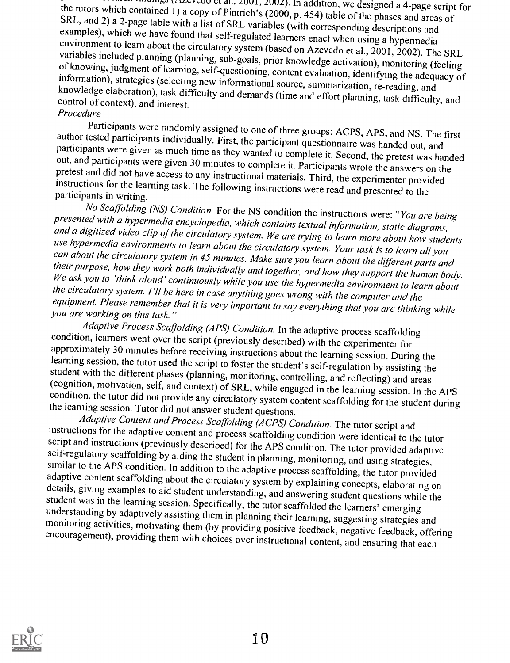the tutors which contained 1) a copy of Pintrich's (2000, p. 454) table of the phases and areas of SRL, and 2) a 2-page table with a list of SRL variables (with corresponding descriptions and examples), which we have found

Procedure<br>Participants were randomly assigned to one of three groups: ACPS, APS, and NS. The first author tested participants individually. First, the participant questionnaire was handed out, and participants were given as much time as they wanted to complete it. Second, the pretest was handed out, and participants we

presented with a hypermedia encyclopedia, which contains textual information, static diagrams,<br>and a digitized video clip of the circulatory system. We are trying to learn more about how students<br>use hypermedia environment

condition, learners went over the script (previously described) with the experimenter for<br>approximately 30 minutes before receiving instructions about the learning session. During the<br>learning session, the tutor used the s

instructions for the adaptive content and process scaffolding condition were identical to the tutor script and instructions (previously described) for the APS condition. The tutor provided adaptive self-regulatory scaffold

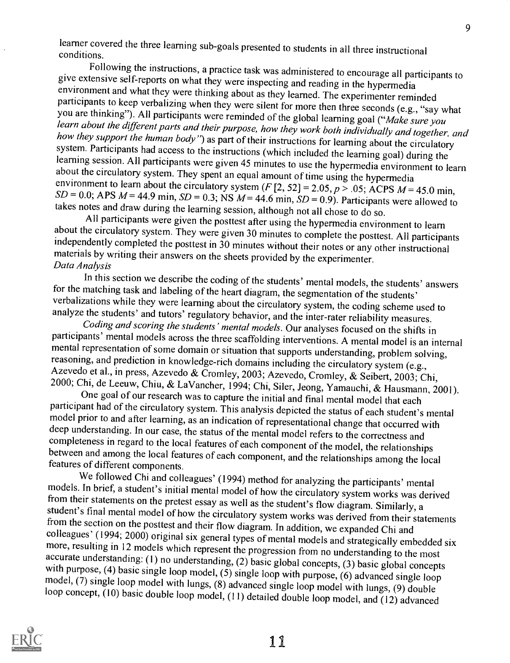learner covered the three learning sub-goals presented to students in all three instructional<br>conditions.<br>Following the instructions, a practice task was administered to encourage all participants to

give extensive self-reports on what they were inspecting and reading in the hypermedia<br>environment and what they were thinking about as they learned. The experimenter reminded<br>participants to keep verbalizing when they we

about the circulatory system. They were given 30 minutes to complete the posttest. All participants independently completed the posttest in 30 minutes without their notes or any other instructional<br>materials by writing their answers on the sheets provided by the experimenter.<br>Data Analysis<br>In this section we describe the

for the matching task and labeling of the heart diagram, the segmentation of the students'<br>verbalizations while they were learning about the circulatory system, the coding scheme used to<br>analyze the students' and turors'

models. In brief, a student's initial mental model of how the circulatory system works was derived<br>from their statements on the pretest essay as well as the student's flow diagram. Similarly, a<br>student's final mental model



11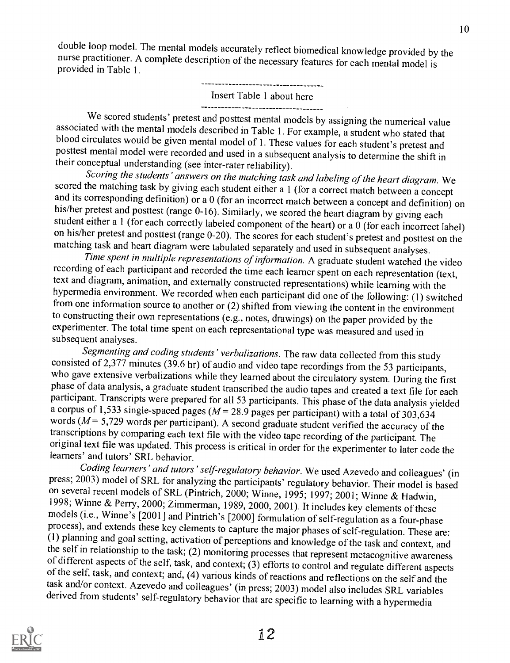10

double loop model. The mental models accurately reflect biomedical knowledge provided by the nurse practitioner. A complete description of the necessary features for each mental model is provided in Table 1.

# Insert Table 1 about here

We scored students' pretest and posttest mental models by assigning the numerical value<br>associated with the mental models described in Table 1. For example, a student who stated that<br>blood circulates would be given mental

scored the matching task by giving each student either a 1 (for a correct match between a concept<br>and its corresponding definition) or a 0 (for an incorrect match between a concept and definition) on<br>his/her pretest and p

on his/her pretest and posttest (range 0-20). The scores for each student's pretest and posttest on the matching task and heart diagram were tabulated separately and used in subsequent analyses.<br>Time spent in multiple repr text and diagram, animation, and externally constructed representations) while learning with the hypermedia environment. We recorded when each participant did one of the following: (1) switched from one information source to another or  $(2)$  shifted from viewing the content in the environment to constructing their own representations (e.g., notes, drawings) on the paper provided by the experimenter. The total time spent on each representational type was measured and used in subsequent analyses.

Segmenting and coding students' verbalizations. The raw data collected from this study consisted of 2,377 minutes (39.6 hr) of audio and video tape recordings from the 53 participants, who gave extensive verbalizations while they learned about the circulatory system. During the first<br>phase of data analysis, a graduate student transcribed the audio tapes and created a text file for each<br>participant. Trans a corpus of 1,533 single-spaced pages ( $M = 28.9$  pages per participant) with a total of 303,634 words ( $M = 5,729$  words per participant). A second graduate student verified the accuracy of the transcriptions by comparing original text file was updated. This process is critical in order for the experimenter to later code the learners' and tutors' SRL behavior.<br>Coding learners' and tutors' self-regulatory behavior. We used Azevedo and collea

press; 2003) model of SRL for analyzing the participants' regulatory behavior. Their model is based on several recent models of SRL (Pintrich, 2000; Winne, 1995; 1997; 2001; Winne & Hadwin, 1998; Winne & Perry, 2000; Zimmerman, 1989, 2000, 2001). It includes key elements of these models (i.e., Winne's [2001] and Pintrich's [2000] formulation of self-regulation as a four-phase process), and extends these key

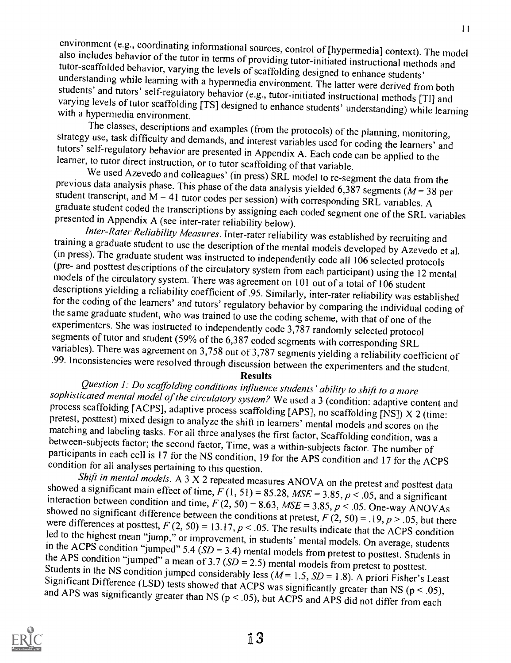environment (e.g., coordinating informational sources, control of [hypermedia] context). The model<br>also includes behavior of the tutor in terms of providing tutor-initiated instructional methods and<br>tutor-scaffolded behavi

strategy use, task difficulty and demands, and interest variables used for coding the learners' and<br>tutors' self-regulatory behavior are presented in Appendix A. Each code can be applied to the<br>learner, to tutor direct in

training a graduate student to use the description of the mental models developed by Azevedo et al.<br>(in press). The graduate student was instructed to independently code all 106 selected protocols<br>(pre- and posttest descri models of the circulatory system. There was agreement on 101 out of a total of 106 student<br>descriptions yielding a reliability coefficient of .95. Similarly, inter-rater reliability was established for the coding of the learners' and tutors' regulatory behavior by comparing the individual coding of<br>the same graduate student, who was trained to use the coding scheme, with that of one of the<br>experimenters. She was ins

sophisticated mental model of the circulatory system? We used a 3 (condition: adaptive content and process scaffolding [ACPS], adaptive process scaffolding [APS], no scaffolding [NS]) X 2 (time: pretest, posttest) mixed de

showed a significant main effect of time,  $F(1, 51) = 85.28$ ,  $MSE = 3.85$ ,  $p < .05$ , and a significant interaction between condition and time,  $F(2, 50) = 8.63$ ,  $MSE = 3.85$ ,  $p < .05$ . One-way ANOVAs showed no significant diffe led to the highest mean "jump," or improvement, in students' mental models. On average, students<br>in the ACPS condition "jumped" 5.4 ( $SD = 3.4$ ) mental models from pretest to posttest. Students in<br>the APS condition "jumped"

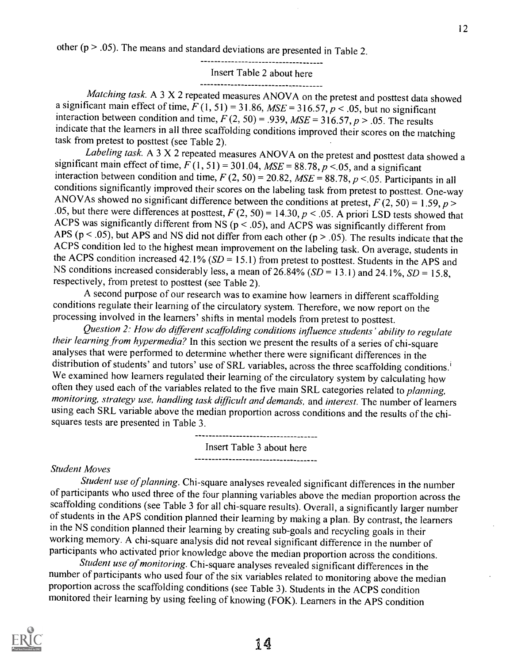other ( $p > .05$ ). The means and standard deviations are presented in Table 2.

Insert Table 2 about here

Matching task. A 3 X 2 repeated measures ANOVA on the pretest and posttest data showed a significant main effect of time,  $F(1, 51) = 31.86$ ,  $MSE = 316.57$ ,  $p < .05$ , but no significant interaction between condition and time,  $F(2, 50) = .939$ ,  $MSE = 316.57$ ,  $p > .05$ . The results indicate that the learners in all three scaffolding conditions improved their scores on the matching task from pretest to posttest (see Table 2).

Labeling task. A 3 X 2 repeated measures ANOVA on the pretest and posttest data showed a significant main effect of time,  $F(1, 51) = 301.04$ ,  $MSE = 88.78$ ,  $p < 0.05$ , and a significant interaction between condition and time,  $F(2, 50) = 20.82$ ,  $MSE = 88.78$ ,  $p < 0.05$ . Participants in all conditions significantly improved their scores on the labeling task from pretest to posttest. One-way ANOVAs showed no significant difference between the conditions at pretest,  $F(2, 50) = 1.59$ ,  $p >$ .05, but there were differences at posttest,  $F(2, 50) = 14.30, p < .05$ . A priori LSD tests showed that ACPS was significantly different from NS ( $p < .05$ ), and ACPS was significantly different from APS ( $p < .05$ ), but APS and NS did not differ from each other ( $p > .05$ ). The results indicate that the ACPS condition led to the highest mean improvement on the labeling task. On average, students in the ACPS condition increased 42.1% ( $SD = 15.1$ ) from pretest to posttest. Students in the APS and NS conditions increased considerably less, a mean of  $26.84\%$  ( $SD = 13.1$ ) and  $24.1\%$ ,  $SD = 15.8$ , respectively, from pretest to posttest (see Table 2).

A second purpose of our research was to examine how learners in different scaffolding conditions regulate their learning of the circulatory system. Therefore, we now report on the processing involved in the learners' shifts in mental models from pretest to posttest.

Question 2: How do different scaffolding conditions influence students' ability to regulate their learning from hypermedia? In this section we present the results of a series of chi-square analyses that were performed to determine whether there were significant differences in the distribution of students' and tutors' use of SRL variables, across the three scaffolding conditions.' We examined how learners regulated their learning of the circulatory system by calculating how often they used each of the variables related to the five main SRL categories related to planning, monitoring, strategy use, handling task difficult and demands, and interest. The number of learners using each SRL variable above the median proportion across conditions and the results of the chisquares tests are presented in Table 3.

Insert Table 3 about here

#### Student Moves

Student use of planning. Chi-square analyses revealed significant differences in the number of participants who used three of the four planning variables above the median proportion across the scaffolding conditions (see Table 3 for all chi-square results). Overall, a significantly larger number of students in the APS condition planned their learning by making a plan. By contrast, the learners in the NS condition planned their learning by creating sub-goals and recycling goals in their working memory. A chi-square analysis did not reveal significant difference in the number of participants who activated prior knowledge above the median proportion across the conditions.<br>Student use of monitoring. Chi-squa

number of participants who used four of the six variables related to monitoring above the median proportion across the scaffolding conditions (see Table 3). Students in the ACPS condition monitored their learning by using feeling of knowing (FOK). Learners in the APS condition

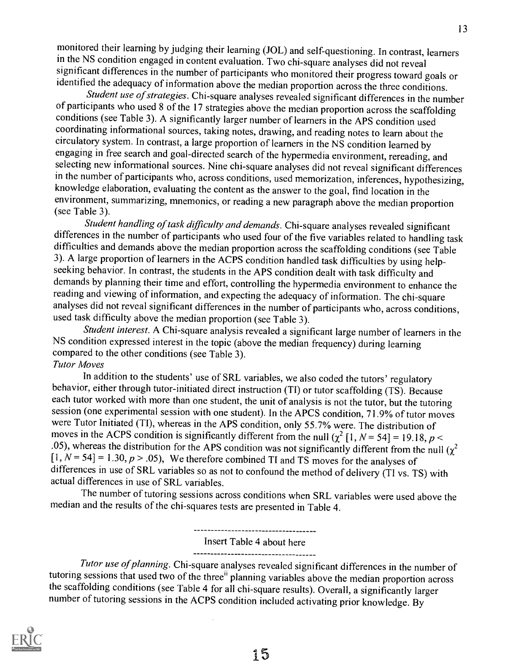monitored their learning by judging their learning (JOL) and self-questioning. In contrast, learners in the NS condition engaged in content evaluation. Two chi-square analyses did not reveal significant differences in the number of participants who monitored their progress toward goals or identified the adequacy of information above the median proportion across the three conditions.

Student use of strategies. Chi-square analyses revealed significant differences in the number<br>of participants who used 8 of the 17 strategies above the median proportion across the scaffolding conditions (see Table 3). A significantly larger number of learners in the APS condition used coordinating informational sources, taking notes, drawing, and reading notes to learn about the circulatory system. In contrast, a large proportion of learners in the NS condition learned by engaging in free search and goal-directed search of the hypermedia environment, rereading, and selecting new informational sources. Nine chi-square analyses did not reveal significant differences in the number of participants who, across conditions, used memorization, inferences, hypothesizing, knowledge elaboration, evaluating the content as the answer to the goal, find location in the environment, summarizing, mnemonics, or reading a new paragraph above the median proportion (see Table 3).

Student handling of task difficulty and demands. Chi-square analyses revealed significant differences in the number of participants who used four of the five variables related to handling task difficulties and demands above the median proportion across the scaffolding conditions (see Table 3). A large proportion of learners in the ACPS condition handled task difficulties by using helpseeking behavior. In contrast, the students in the APS condition dealt with task difficulty and demands by planning their time and effort, controlling the hypermedia environment to enhance the reading and viewing of information, and expecting the adequacy of information. The chi-square analyses did not reveal significant differences in the number of participants who, across conditions, used task difficulty above the median proportion (see Table 3).

Student interest. A Chi-square analysis revealed a significant large number of learners in the NS condition expressed interest in the topic (above the median frequency) during learning compared to the other conditions (see Table 3).

Tutor Moves

In addition to the students' use of SRL variables, we also coded the tutors' regulatory behavior, either through tutor-initiated direct instruction (TI) or tutor scaffolding (TS). Because each tutor worked with more than one student, the unit of analysis is not the tutor, but the tutoring session (one experimental session with one student). In the APCS condition, 71.9% of tutor moves were Tutor Initiated (TI), whereas in the APS condition, only 55.7% were. The distribution of moves in the ACPS condition is significantly different from the null  $\left(\chi^2\left[1, N=54\right]\right) = 19.18$ ,  $p <$ .05), whereas the distribution for the APS condition was not significantly different from the null  $(\chi^2)$  $[1, N = 54] = 1.30, p > .05$ , We therefore combined TI and TS moves for the analyses of differences in use of SRL variables so as not to confound the method of delivery (T1 vs. TS) with actual differences in use of SRL variables.

The number of tutoring sessions across conditions when SRL variables were used above the median and the results of the chi-squares tests are presented in Table 4.

> -----------------------------------Insert Table 4 about here

> -----------------------------------

Tutor use of planning. Chi-square analyses revealed significant differences in the number of tutoring sessions that used two of the three<sup>ii</sup> planning variables above the median proportion across the scaffolding conditions (see Table 4 for all chi-square results). Overall, a significantly larger number of tutoring sessions in the ACPS condition included activating prior knowledge. By

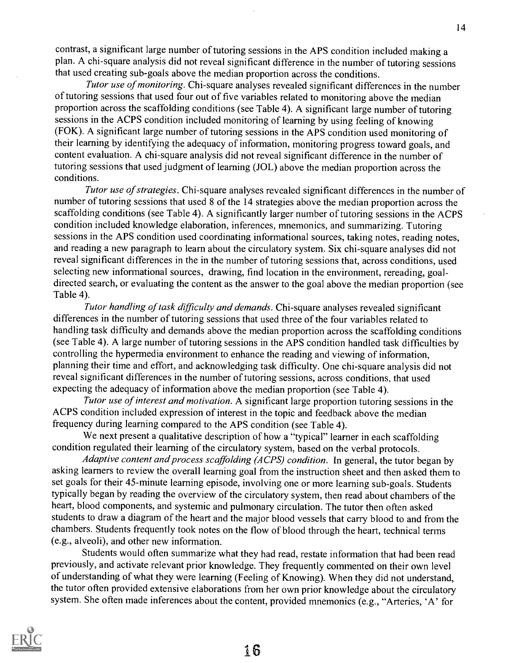contrast, a significant large number of tutoring sessions in the APS condition included making a plan. A chi-square analysis did not reveal significant difference in the number of tutoring sessions that used creating sub-goals above the median proportion across the conditions.

Tutor use of monitoring. Chi-square analyses revealed significant differences in the number of tutoring sessions that used four out of five variables related to monitoring above the median proportion across the scaffolding conditions (see Table 4). A significant large number of tutoring sessions in the ACPS condition included monitoring of learning by using feeling of knowing (FOK). A significant large number of tutoring sessions in the APS condition used monitoring of their learning by identifying the adequacy of information, monitoring progress toward goals, and content evaluation. A chi-square analysis did not reveal significant difference in the number of tutoring sessions that used judgment of learning (JOL) above the median proportion across the conditions.

Tutor use of strategies. Chi-square analyses revealed significant differences in the number of number of tutoring sessions that used 8 of the 14 strategies above the median proportion across the scaffolding conditions (see Table 4). A significantly larger number of tutoring sessions in the ACPS condition included knowledge elaboration, inferences, mnemonics, and summarizing. Tutoring sessions in the APS condition used coordinating informational sources, taking notes, reading notes, and reading a new paragraph to learn about the circulatory system. Six chi-square analyses did not reveal significant differences in the in the number of tutoring sessions that, across conditions, used selecting new informational sources, drawing, find location in the environment, rereading, goaldirected search, or evaluating the content as the answer to the goal above the median proportion (see Table 4).

Tutor handling of task difficulty and demands. Chi-square analyses revealed significant differences in the number of tutoring sessions that used three of the four variables related to handling task difficulty and demands above the median proportion across the scaffolding conditions (see Table 4). A large number of tutoring sessions in the APS condition handled task difficulties by controlling the hypermedia environment to enhance the reading and viewing of information, planning their time and effort, and acknowledging task difficulty. One chi-square analysis did not reveal significant differences in the number of tutoring sessions, across conditions, that used expecting the adequacy of information above the median proportion (see Table 4).

Tutor use of interest and motivation. A significant large proportion tutoring sessions in the ACPS condition included expression of interest in the topic and feedback above the median frequency during learning compared to the APS condition (see Table 4).

We next present a qualitative description of how a "typical" learner in each scaffolding condition regulated their learning of the circulatory system, based on the verbal protocols.

Adaptive content and process scaffolding (ACPS) condition. In general, the tutor began by asking learners to review the overall learning goal from the instruction sheet and then asked them to set goals for their 45-minute learning episode, involving one or more learning sub-goals. Students typically began by reading the overview of the circulatory system, then read about chambers of the heart, blood components, and systemic and pulmonary circulation. The tutor then often asked students to draw a diagram of the heart and the major blood vessels that carry blood to and from the chambers. Students frequently took notes on the flow of blood through the heart, technical terms (e.g., alveoli), and other new information.

Students would often summarize what they had read, restate information that had been read previously, and activate relevant prior knowledge. They frequently commented on their own level of understanding of what they were learning (Feeling of Knowing). When they did not understand, the tutor often provided extensive elaborations from her own prior knowledge about the circulatory system. She often made inferences about the content, provided mnemonics (e.g., "Arteries, 'A' for

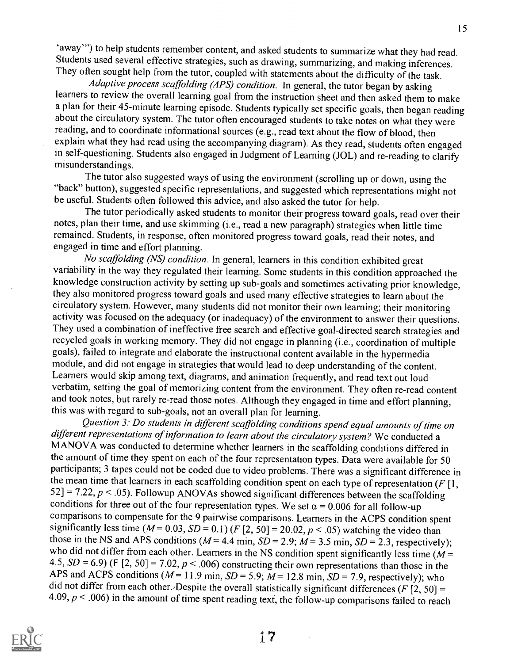`away') to help students remember content, and asked students to summarize what they had read. Students used several effective strategies, such as drawing, summarizing, and making inferences. They often sought help from the tutor, coupled with statements about the difficulty of the task.

Adaptive process scaffolding (APS) condition. In general, the tutor began by asking learners to review the overall learning goal from the instruction sheet and then asked them to make a plan for their 45-minute learning episode. Students typically set specific goals, then began reading about the circulatory system. The tutor often encouraged students to take notes on what they were reading, and to coordinate informational sources (e.g., read text about the flow of blood, then explain what they had read using the accompanying diagram). As they read, students often engaged in self-questioning. Students also engaged in Judgment of Learning (JOL) and re-reading to clarify misunderstandings.

The tutor also suggested ways of using the environment (scrolling up or down, using the "back" button), suggested specific representations, and suggested which representations might not be useful. Students often followed this advice, and also asked the tutor for help.

The tutor periodically asked students to monitor their progress toward goals, read over their notes, plan their time, and use skimming (i.e., read a new paragraph) strategies when little time remained. Students, in response, often monitored progress toward goals, read their notes, and engaged in time and effort planning.

No scaffolding (NS) condition. In general, learners in this condition exhibited great variability in the way they regulated their learning. Some students in this condition approached the knowledge construction activity by setting up sub-goals and sometimes activating prior knowledge, they also monitored progress toward goals and used many effective strategies to learn about the circulatory system. However, many students did not monitor their own learning; their monitoring activity was focused on the adequacy (or inadequacy) of the environment to answer their questions. They used a combination of ineffective free search and effective goal-directed search strategies and recycled goals in working memory. They did not engage in planning (i.e., coordination of multiple goals), failed to integrate and elaborate the instructional content available in the hypermedia module, and did not engage in strategies that would lead to deep understanding of the content. Learners would skip among text, diagrams, and animation frequently, and read text out loud verbatim, setting the goal of memorizing content from the environment. They often re-read content and took notes, but rarely re-read those notes. Although they engaged in time and effort planning, this was with regard to sub-goals, not an overall plan for learning.

Question 3: Do students in different scaffolding conditions spend equal amounts of time on different representations of information to learn about the circulatory system? We conducted a MANOVA was conducted to determine whether learners in the scaffolding conditions differed in the amount of time they spent on each of the four representation types. Data were available for 50 participants; 3 tapes could not be coded due to video problems. There was a significant difference in the mean time that learners in each scaffolding condition spent on each type of representation ( $F[1, 1]$ 52] = 7.22,  $p < 0.05$ ). Followup ANOVAs showed significant differences between the scaffolding conditions for three out of the four representation types. We set  $\alpha = 0.006$  for all follow-up comparisons to compensate for the 9 pairwise comparisons. Learners in the ACPS condition spent significantly less time  $(M= 0.03, SD = 0.1)$  (F [2, 50] = 20.02,  $p < .05$ ) watching the video than those in the NS and APS conditions ( $M = 4.4$  min,  $SD = 2.9$ ;  $M = 3.5$  min,  $SD = 2.3$ , respectively); who did not differ from each other. Learners in the NS condition spent significantly less time ( $M =$ 4.5,  $SD = 6.9$ ) (F [2, 50] = 7.02,  $p < .006$ ) constructing their own representations than those in the APS and ACPS conditions ( $M= 11.9$  min,  $SD = 5.9$ ;  $M= 12.8$  min,  $SD = 7.9$ , respectively); who did not differ from each other. Despite the overall statistically significant differences ( $F$ [2, 50] = 4.09,  $p < .006$ ) in the amount of time spent reading text, the follow-up comparisons failed to reach

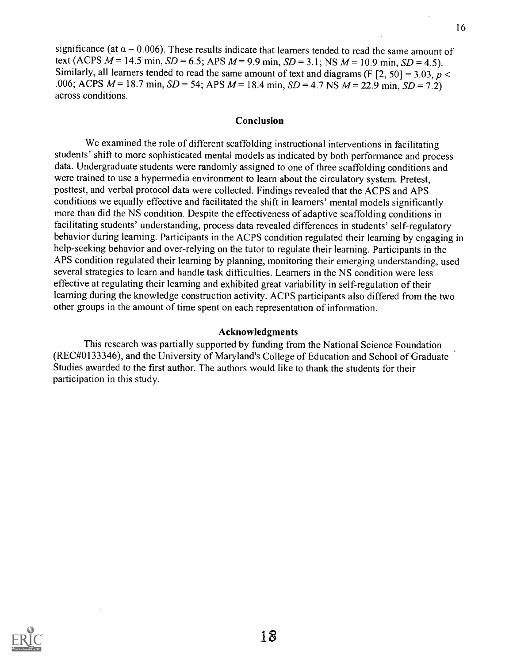significance (at  $\alpha$  = 0.006). These results indicate that learners tended to read the same amount of text (ACPS  $M = 14.5$  min,  $SD = 6.5$ ; APS  $M = 9.9$  min,  $SD = 3.1$ ; NS  $M = 10.9$  min,  $SD = 4.5$ ). Similarly, all learners tended to read the same amount of text and diagrams (F  $[2, 50] = 3.03$ ,  $p <$ .006; ACPS  $M = 18.7$  min,  $SD = 54$ ; APS  $M = 18.4$  min,  $SD = 4.7$  NS  $M = 22.9$  min,  $SD = 7.2$ )

#### Conclusion

across conditions.

We examined the role of different scaffolding instructional interventions in facilitating students' shift to more sophisticated mental models as indicated by both performance and process data. Undergraduate students were randomly assigned to one of three scaffolding conditions and were trained to use a hypermedia environment to learn about the circulatory system. Pretest, posttest, and verbal protocol data were collected. Findings revealed that the ACPS and APS conditions we equally effective and facilitated the shift in learners' mental models significantly more than did the NS condition. Despite the effectiveness of adaptive scaffolding conditions in facilitating students' understanding, process data revealed differences in students' self-regulatory behavior during learning. Participants in the ACPS condition regulated their learning by engaging in help-seeking behavior and over-relying on the tutor to regulate their learning. Participants in the APS condition regulated their learning by planning, monitoring their emerging understanding, used several strategies to learn and handle task difficulties. Learners in the NS condition were less effective at regulating their learning and exhibited great variability in self-regulation of their learning during the knowledge construction activity. ACPS participants also differed from the two other groups in the amount of time spent on each representation of information.

#### Acknowledgments

This research was partially supported by funding from the National Science Foundation (REC#0133346), and the University of Maryland's College of Education and School of Graduate Studies awarded to the first author. The authors would like to thank the students for their participation in this study.

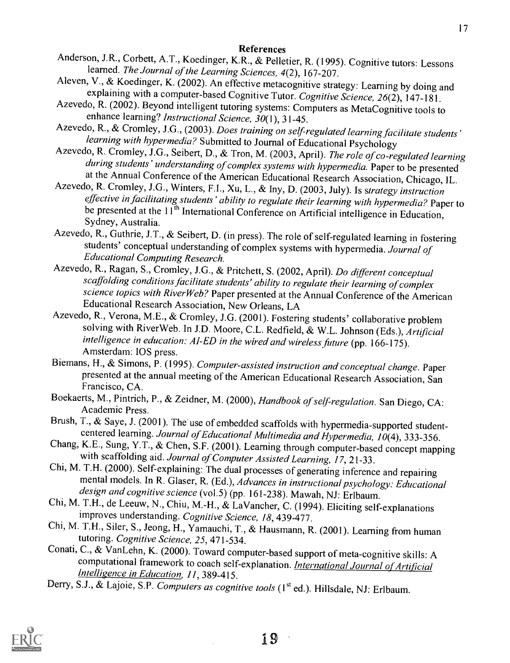# References

- Anderson, J.R., Corbett, A.T., Koedinger, K.R., & Pelletier, R. (1995). Cognitive tutors: Lessons
- learned. The Journal of the Learning Sciences, 4(2), 167-207.<br>Aleven, V., & Koedinger, K. (2002). An effective metacognitive strategy: Learning by doing and explaining with a computer-based Cognitive Tutor. Cognitive Scien
- Azevedo, R. (2002). Beyond intelligent tutoring systems: Computers as MetaCognitive tools to enhance learning? Instructional Science, 30(1), 31-45.
- Azevedo, R., & Cromley, J.G., (2003). Does training on self-regulated learning facilitate students' learning with hypermedia? Submitted to Journal of Educational Psychology
- Azevedo, R. Cromley, J.G., Seibert, D., & Tron, M. (2003, April). The role of co-regulated learning during students' understanding of complex systems with hypermedia. Paper to be presented at the Annual Conference of the American Educational Research Association, Chicago, IL.
- Azevedo, R. Cromley, J.G., Winters, F.I., Xu, L., & Iny, D. (2003, July). Is strategy instruction effective in facilitating students' ability to regulate their learning with hypermedia? Paper to be presented at the 11<sup>th</sup> International Conference on Artificial intelligence in Education, Sydney, Australia.
- Azevedo, R., Guthrie, J.T., & Seibert, D. (in press). The role of self-regulated learning in fostering students' conceptual understanding of complex systems with hypermedia. Journal of Educational Computing Research.
- Azevedo, R., Ragan, S., Cromley, J.G., & Pritchett, S. (2002, April). Do different conceptual scaffolding conditions facilitate students' ability to regulate their learning of complex science topics with River Web? Paper presented at the Annual Conference of the American Educational Research Association, New Orleans, LA
- Azevedo, R., Verona, M.E., & Cromley, J.G. (2001). Fostering students' collaborative problem solving with RiverWeb. In J.D. Moore, C.L. Redfield, & W.L. Johnson (Eds.), Artificial intelligence in education: AI-ED in the wired and wireless future (pp. 166-175).<br>Amsterdam: IOS press.<br>Biemans, H., & Simons, P. (1995). Computer-assisted instruction and conceptual change. Paper
- presented at the annual meeting of the American Educational Research Association, San Francisco, CA.
- Boekaerts, M., Pintrich, P., & Zeidner, M. (2000), Handbook of self-regulation. San Diego, CA:<br>Academic Press.<br>Brush, T., & Saye, J. (2001). The use of embedded scaffolds with hypermedia-supported student-
- 
- 
- centered learning. Journal of Educational Multimedia and Hypermedia, 10(4), 333-356.<br>Chang, K.E., Sung, Y.T., & Chen, S.F. (2001). Learning through computer-based concept mapping<br>with scaffolding aid. Journal of Computer A
- improves understanding. Cognitive Science, 18, 439-477.
- Chi, M. T.H., Siler, S., Jeong, H., Yamauchi, T., & Hausmann, R. (2001). Learning from human tutoring. Cognitive Science, 25, 471-534.
- Conati, C., & VanLehn, K. (2000). Toward computer-based support of meta-cognitive skills: A computational framework to coach self-explanation. *International Journal of Artificial Intelligence in Education, 11*, 389-415.
- Derry, S.J., & Lajoie, S.P. Computers as cognitive tools (1<sup>st</sup> ed.). Hillsdale, NJ: Erlbaum.

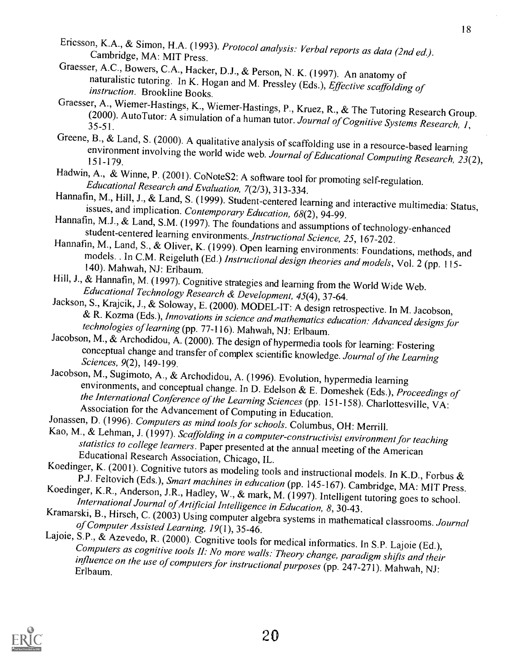- Ericsson, K.A., & Simon, H.A. (1993). Protocol analysis: Verbal reports as data (2nd ed.).<br>Cambridge, MA: MIT Press.<br>Graesser, A.C., Bowers, C.A., Hacker, D.J., & Person, N. K. (1997). An anatomy of
- naturalistic tutoring. In K. Hogan and M. Pressley (Eds.), *Effective scaffolding of instruction*. Brookline Books.<br>Graesser, A., Wiemer-Hastings, K., Wiemer-Hastings, P., Kruez, R., & The Tutoring Research Group.
- (2000). AutoTutor: A simulation of a human tutor. Journal of Cognitive Systems Research, 1, 35-51.<br>Greene, B., & Land, S. (2000). A qualitative analysis of scaffolding use in a resource-based learning
- environment involving the world wide web. Journal of Educational Computing Research, 23(2), 151-179.<br>Hadwin, A., & Winne, P. (2001). CoNoteS2: A software tool for promoting self-regulation.
- 
- Educational Research and Evaluation, 7(2/3), 313-334.<br>Hannafin, M., Hill, J., & Land, S. (1999). Student-centered learning and interactive multimedia: Status,<br>issues, and implication. Contemporary Education, 68(2), 94-99.<br>
- 
- Hannafin, M., Land, S., & Oliver, K. (1999). Open learning environments: Foundations, methods, and models. . In C.M. Reigeluth (Ed.) *Instructional design theories and models*, Vol. 2 (pp. 115-140). Mahwah, NJ: Erlbaum.
- 
- Hill, J., & Hannafin, M. (1997). Cognitive strategies and learning from the World Wide Web.<br> *Educational Technology Research & Development, 45(4), 37-64.*<br>
Jackson, S., Krajcik, J., & Soloway, E. (2000). MODEL-IT: A desig technologies of learning (pp. 77-116). Mahwah, NJ: Erlbaum.<br>Jacobson, M., & Archodidou, A. (2000). The design of hypermedia tools for learning: Fostering
- conceptual change and transfer of complex scientific knowledge. Journal of the Learning<br>Sciences, 9(2), 149-199.<br>Jacobson, M., Sugimoto, A., & Archodidou, A. (1996). Evolution, hypermedia learning
- 
- 
- 
- 
- 
- 
- environments, and conceptual change. In D. Edelson & E. Domeshek (Eds.), *Proceedings of*<br>the International Conference of the Learning Sciences (pp. 151-158). Charlottesville, VA:<br>Association for the Advancement of Comput

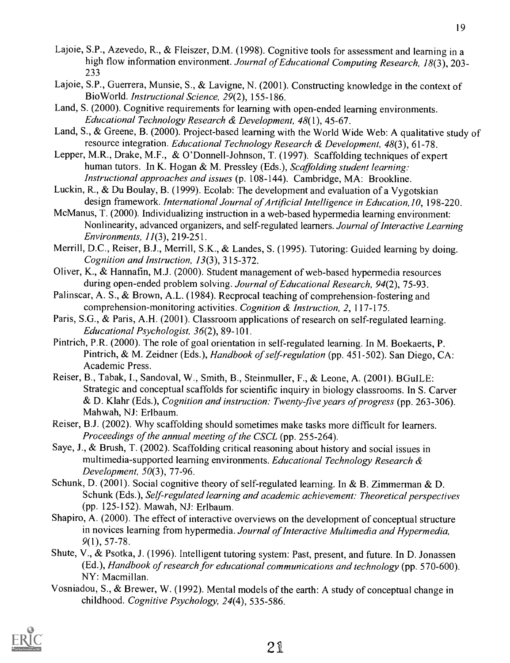- Lajoie, S.P., Azevedo, R., & Fleiszer, D.M. (1998). Cognitive tools for assessment and learning in a high flow information environment. Journal of Educational Computing Research, 18(3), 203-233
- Lajoie, S.P., Guerrera, Munsie, S., & Lavigne, N. (2001). Constructing knowledge in the context of BioWorld. Instructional Science, 29(2), 155-186.
- Land, S. (2000). Cognitive requirements for learning with open-ended learning environments. Educational Technology Research & Development, 48(1), 45-67.
- Land, S., & Greene, B. (2000). Project-based learning with the World Wide Web: A qualitative study of resource integration. Educational Technology Research & Development, 48(3), 61-78.
- Lepper, M.R., Drake, M.F., & O'Donnell-Johnson, T. (1997). Scaffolding techniques of expert human tutors. In K. Hogan & M. Pressley (Eds.), Scaffolding student learning: Instructional approaches and issues (p. 108-144). Cambridge, MA: Brookline.
- Luckin, R., & Du Boulay, B. (1999). Ecolab: The development and evaluation of a Vygotskian design framework. International Journal of Artificial Intelligence in Education, 10, 198-220.
- McManus, T. (2000). Individualizing instruction in a web-based hypermedia learning environment: Nonlinearity, advanced organizers, and self-regulated learners. Journal of Interactive Learning Environments, 11(3), 219-251.
- Merrill, D.C., Reiser, B.J., Merrill, S.K., & Landes, S. (1995). Tutoring: Guided learning by doing. Cognition and Instruction, 13(3), 315-372.
- Oliver, K., & Hannafin, M.J. (2000). Student management of web-based hypermedia resources during open-ended problem solving. Journal of Educational Research, 94(2), 75-93.
- Palinscar, A. S., & Brown, A.L. (1984). Recprocal teaching of comprehension-fostering and comprehension-monitoring activities. Cognition & Instruction, 2, 117-175.
- Paris, S.G., & Paris, A.H. (2001). Classroom applications of research on self-regulated learning. Educational Psychologist, 36(2), 89-101.
- Pintrich, P.R. (2000). The role of goal orientation in self-regulated learning. In M. Boekaerts, P. Pintrich, & M. Zeidner (Eds.), Handbook of self-regulation (pp. 451-502). San Diego, CA: Academic Press.
- Reiser, B., Tabak, I., Sandoval, W., Smith, B., Steinmuller, F., & Leone, A. (2001). BGuILE: Strategic and conceptual scaffolds for scientific inquiry in biology classrooms. In S. Carver & D. Klahr (Eds.), Cognition and instruction: Twenty-five years of progress (pp. 263-306). Mahwah, NJ: Erlbaum.
- Reiser, B.J. (2002). Why scaffolding should sometimes make tasks more difficult for learners. Proceedings of the annual meeting of the CSCL (pp. 255-264).
- Saye, J., & Brush, T. (2002). Scaffolding critical reasoning about history and social issues in multimedia-supported learning environments. Educational Technology Research & Development, 50(3), 77-96.
- Schunk, D. (2001). Social cognitive theory of self-regulated learning. In & B. Zimmerman & D. Schunk (Eds.), Self-regulated learning and academic achievement: Theoretical perspectives (pp. 125-152). Mawah, NJ: Erlbaum.
- Shapiro, A. (2000). The effect of interactive overviews on the development of conceptual structure in novices learning from hypermedia. Journal of Interactive Multimedia and Hypermedia, 9(1), 57-78.
- Shute, V., & Psotka, J. (1996). Intelligent tutoring system: Past, present, and future. In D. Jonassen (Ed.), Handbook of research for educational communications and technology (pp. 570-600). NY: Macmillan.
- Vosniadou, S., & Brewer, W. (1992). Mental models of the earth: A study of conceptual change in childhood. Cognitive Psychology, 24(4), 535-586.

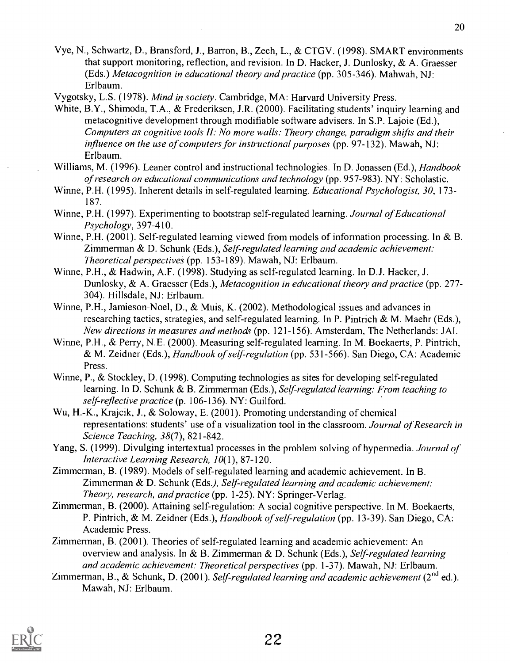- Vye, N., Schwartz, D., Bransford, J., Barron, B., Zech, L., & CTGV. (1998). SMART environments that support monitoring, reflection, and revision. In D. Hacker, J. Dunlosky, & A. Graesser (Eds.) Metacognition in educational theory and practice (pp. 305-346). Mahwah, NJ: Erlbaum.
- Vygotsky, L.S. (1978). Mind in society. Cambridge, MA: Harvard University Press.
- White, B.Y., Shimoda, T.A., & Frederiksen, J.R. (2000). Facilitating students' inquiry learning and metacognitive development through modifiable software advisers. In S.P. Lajoie (Ed.), Computers as cognitive tools II: No more walls: Theory change, paradigm shifts and their influence on the use of computers for instructional purposes (pp. 97-132). Mawah, NJ: Erlbaum.
- Williams, M. (1996). Leaner control and instructional technologies. In D. Jonassen (Ed.), *Handbook* of research on educational communications and technology (pp. 957-983). NY: Scholastic.
- Winne, P.H. (1995). Inherent details in self-regulated learning. Educational Psychologist, 30, 173- 187.
- Winne, P.H. (1997). Experimenting to bootstrap self-regulated learning. Journal of Educational Psychology, 397-410.
- Winne, P.H. (2001). Self-regulated learning viewed from models of information processing. In & B. Zimmerman & D. Schunk (Eds.), Self-regulated learning and academic achievement: Theoretical perspectives (pp. 153-189). Mawah, NJ: Erlbaum.
- Winne, P.H., & Hadwin, A.F. (1998). Studying as self-regulated learning. In D.J. Hacker, J. Dunlosky, & A. Graesser (Eds.), Metacognition in educational theory and practice (pp. 277- 304). Hillsdale, NJ: Erlbaum.
- Winne, P.H., Jamieson-Noel, D., & Muis, K. (2002). Methodological issues and advances in researching tactics, strategies, and self-regulated learning. In P. Pintrich & M. Maehr (Eds.), New directions in measures and methods (pp. 121-156). Amsterdam, The Netherlands: JAI.
- Winne, P.H., & Perry, N.E. (2000). Measuring self-regulated learning. In M. Boekaerts, P. Pintrich, & M. Zeidner (Eds.), Handbook of self-regulation (pp. 531-566). San Diego, CA: Academic Press.
- Winne, P., & Stockley, D. (1998). Computing technologies as sites for developing self-regulated learning. In D. Schunk & B. Zimmerman (Eds.), Self-regulated learning: From teaching to self-reflective practice (p. 106-136). NY: Guilford.
- Wu, H.-K., Krajcik, J., & Soloway, E. (2001). Promoting understanding of chemical representations: students' use of a visualization tool in the classroom. Journal of Research in Science Teaching, 38(7), 821-842.
- Yang, S. (1999). Divulging intertextual processes in the problem solving of hypermedia. Journal of Interactive Learning Research, 10(1), 87-120.
- Zimmerman, B. (1989). Models of self-regulated learning and academic achievement. In B. Zimmerman & D. Schunk (Eds.), Self regulated learning and academic achievement: Theory, research, and practice (pp. 1-25). NY: Springer-Verlag.
- Zimmerman, B. (2000). Attaining self-regulation: A social cognitive perspective. In M. Boekaerts, P. Pintrich, & M. Zeidner (Eds.), Handbook of self-regulation (pp. 13-39). San Diego, CA: Academic Press.
- Zimmerman, B. (2001). Theories of self-regulated learning and academic achievement: An overview and analysis. In & B. Zimmerman & D. Schunk (Eds.), Self-regulated learning and academic achievement: Theoretical perspectives (pp. 1-37). Mawah, NJ: Erlbaum.
- Zimmerman, B., & Schunk, D. (2001). Self-regulated learning and academic achievement ( $2^{nd}$  ed.). Mawah, NJ: Erlbaum.

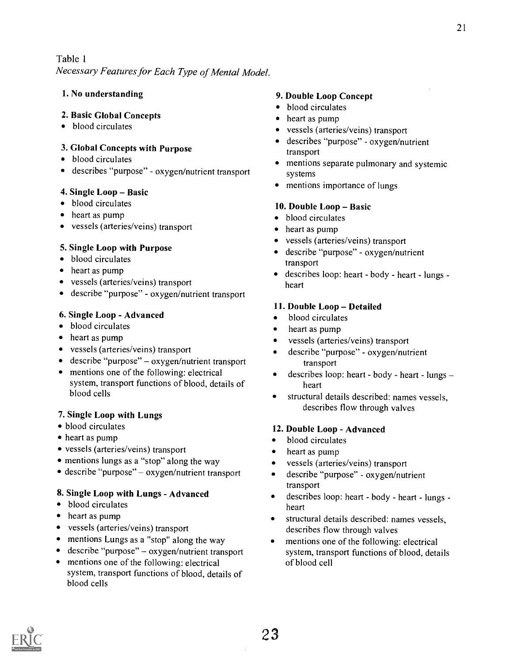Necessary Features for Each Type of Mental Model.

#### 1. No understanding

#### 2. Basic Global Concepts

• blood circulates

### 3. Global Concepts with Purpose

- blood circulates
- describes "purpose" oxygen/nutrient transport

#### 4. Single  $Loop - Basic$

- blood circulates
- heart as pump
- vessels (arteries/veins) transport

#### 5. Single Loop with Purpose

- blood circulates
- heart as pump
- vessels (arteries/veins) transport
- describe "purpose" oxygen/nutrient transport

#### 6. Single Loop - Advanced

- blood circulates
- heart as pump
- vessels (arteries/veins) transport
- describe "purpose" oxygen/nutrient transport
- mentions one of the following: electrical system, transport functions of blood, details of blood cells

# 7. Single Loop with Lungs

- blood circulates
- heart as pump
- vessels (arteries/veins) transport
- mentions lungs as a "stop" along the way
- describe "purpose" oxygen/nutrient transport

#### 8. Single Loop with Lungs - Advanced

- blood circulates
- heart as pump
- vessels (arteries/veins) transport
- mentions Lungs as a "stop" along the way
- describe "purpose" oxygen/nutrient transport
- mentions one of the following: electrical system, transport functions of blood, details of blood cells

#### 9. Double Loop Concept

- blood circulates
- heart as pump
- vessels (arteries/veins) transport
- describes "purpose" oxygen/nutrient transport
- mentions separate pulmonary and systemic systems
- mentions importance of lungs

#### 10. Double Loop - Basic

- blood circulates
- heart as pump
- vessels (arteries/veins) transport
- describe "purpose" oxygen/nutrient transport
- describes loop: heart body heart lungs heart

#### 11. Double Loop - Detailed

- blood circulates
- heart as pump
- vessels (arteries/veins) transport
- describe "purpose" oxygen/nutrient transport
- describes loop: heart body heart lungs heart
- structural details described: names vessels, describes flow through valves

#### 12. Double Loop - Advanced

- blood circulates  $\bullet$
- heart as pump
- $\bullet$ vessels (arteries/veins) transport
- $\bullet$ describe "purpose" - oxygen/nutrient transport
- describes loop: heart body heart lungs - $\bullet$ heart
- structural details described: names vessels, describes flow through valves
- mentions one of the following: electrical system, transport functions of blood, details of blood cell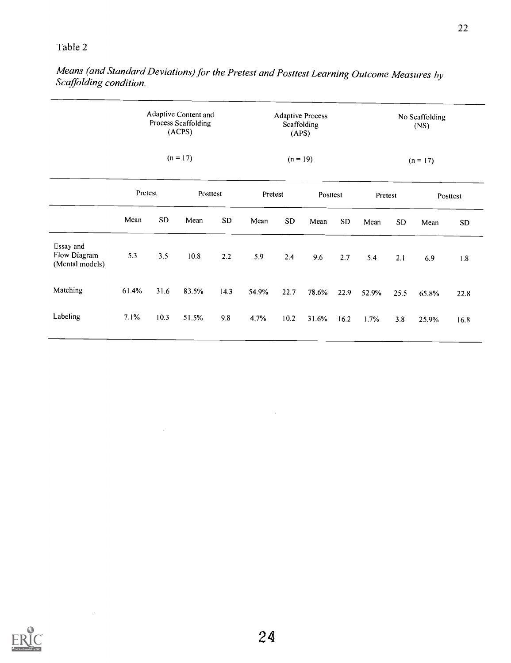Means (and Standard Deviations) for the Pretest and Posttest Learning Outcome Measures by Scaffolding condition.

| Adaptive Content and<br>Process Scaffolding<br>(ACPS) |            | <b>Adaptive Process</b><br>Scaffolding<br>(APS) |            |          | No Scaffolding<br>(NS) |         |           |          |           |         |           |
|-------------------------------------------------------|------------|-------------------------------------------------|------------|----------|------------------------|---------|-----------|----------|-----------|---------|-----------|
|                                                       | $(n = 17)$ |                                                 | $(n = 19)$ |          | $(n = 17)$             |         |           |          |           |         |           |
|                                                       |            |                                                 |            |          |                        |         |           |          |           |         | Posttest  |
| Mean                                                  | SD.        | Mean                                            | <b>SD</b>  | Mean     | ${\bf SD}$             | Mean    | <b>SD</b> | Mean     | <b>SD</b> | Mean    | <b>SD</b> |
| 5.3                                                   | 3.5        | 10.8                                            | 2.2        | 5.9      | 2.4                    | 9.6     | 2.7       | 5.4      | 2.1       | 6.9     | $1.8\,$   |
| 61.4%                                                 | 31.6       | 83.5%                                           | 14.3       | 54.9%    | 22.7                   | 78.6%   | 22.9      | 52.9%    | 25.5      | 65.8%   | 22.8      |
| 7.1%                                                  | 10.3       | 51.5%                                           | 9.8        | 4.7%     | 10.2                   | 31.6%   | 16.2      | 1.7%     | 3.8       | 25.9%   | 16.8      |
|                                                       |            | Pretest                                         |            | Posttest |                        | Pretest |           | Posttest |           | Pretest |           |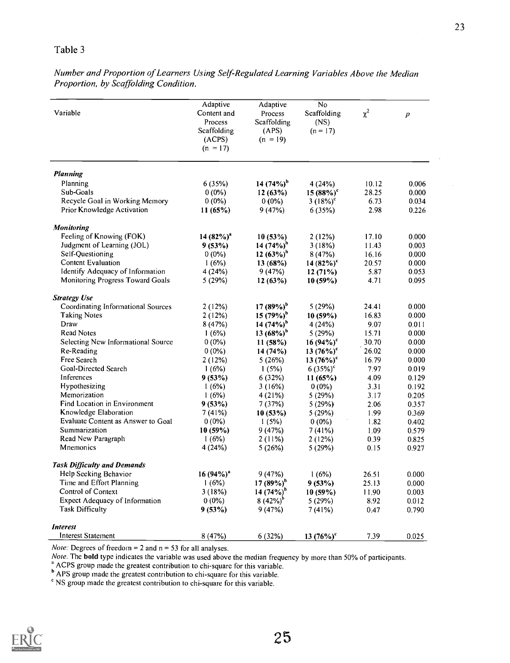Number and Proportion of Learners Using Self-Regulated Learning Variables Above the Median Proportion, by Scaffolding Condition.

| Variable                           | Adaptive<br>Content and<br>Process<br>Scaffolding<br>(ACPS)<br>$(n = 17)$ | Adaptive<br>Process<br>Scaffolding<br>(APS)<br>$(n = 19)$ | No<br>Scaffolding<br>(NS)<br>$(n = 17)$ | $\chi^2$ | $\boldsymbol{p}$ |
|------------------------------------|---------------------------------------------------------------------------|-----------------------------------------------------------|-----------------------------------------|----------|------------------|
| <b>Planning</b>                    |                                                                           |                                                           |                                         |          |                  |
| Planning                           | 6(35%)                                                                    | 14 $(74\%)^b$                                             | 4(24%)                                  | 10.12    | 0.006            |
| Sub-Goals                          | $0(0\%)$                                                                  | 12(63%)                                                   | $15(88%)^c$                             | 28.25    | 0.000            |
| Recycle Goal in Working Memory     | $0(0\%)$                                                                  | $0(0\%)$                                                  | $3(18%)^c$                              | 6.73     | 0.034            |
| Prior Knowledge Activation         | 11(65%)                                                                   | 9(47%)                                                    | 6(35%)                                  | 2.98     | 0.226            |
| <b>Monitoring</b>                  |                                                                           |                                                           |                                         |          |                  |
| Feeling of Knowing (FOK)           | $14(82%)^4$                                                               | 10(53%)                                                   | 2(12%)                                  | 17.10    | 0.000            |
| Judgment of Learning (JOL)         | 9(53%)                                                                    | 14 (74%) <sup>"</sup>                                     | 3(18%)                                  | 11.43    | 0.003            |
| Self-Questioning                   | $0(0\%)$                                                                  | 12 $(63\%)^b$                                             | 8(47%)                                  | 16.16    | 0.000            |
| Content Evaluation                 | 1(6%)                                                                     | 13(68%)                                                   | 14 $(82\%)^c$                           | 20.57    | 0.000            |
| Identify Adequacy of Information   | 4(24%)                                                                    | 9(47%)                                                    | 12(71%)                                 | 5.87     | 0.053            |
| Monitoring Progress Toward Goals   | 5(29%)                                                                    | 12(63%)                                                   | $10(59\%)$                              | 4.71     | 0.095            |
| <b>Strategy Use</b>                |                                                                           |                                                           |                                         |          |                  |
| Coordinating Informational Sources | 2(12%)                                                                    | $17(89%)^b$                                               | 5(29%)                                  | 24.41    | 0.000            |
| <b>Taking Notes</b>                | 2(12%)                                                                    | $15(79%)^b$                                               | $10(59\%)$                              | 16.83    | 0.000            |
| Draw                               | 8(47%)                                                                    | 14 $(74\%)^b$                                             | 4(24%)                                  | 9.07     | 0.011            |
| <b>Read Notes</b>                  | 1(6%)                                                                     | $13(68%)^b$                                               | 5(29%)                                  | 15.71    | 0.000            |
| Selecting New Informational Source | $0(0\%)$                                                                  | 11(58%)                                                   | $16(94\%)^c$                            | 30.70    | 0.000            |
| Re-Reading                         | $0(0\%)$                                                                  | 14 (74%)                                                  | $13(76%)^c$                             | 26.02    | 0.000            |
| Free Search                        | 2(12%)                                                                    | 5(26%)                                                    | $13(76%)^c$                             | 16.79    | 0.000            |
| Goal-Directed Search               | 1(6%)                                                                     | 1(5%)                                                     | $6(35%)^c$                              | 7.97     | 0.019            |
| Inferences                         | 9(53%)                                                                    | 6 (32%)                                                   | 11(65%)                                 | 4.09     | 0.129            |
| Hypothesizing                      | 1(6%)                                                                     | 3 (16%)                                                   | $0(0\%)$                                | 3.31     | 0.192            |
| Memorization                       | 1(6%)                                                                     | 4 (21%)                                                   | 5(29%)                                  | 3.17     | 0.205            |
| Find Location in Environment       | 9(53%)                                                                    | 7(37%)                                                    | 5(29%)                                  | 2.06     | 0.357            |
| Knowledge Elaboration              | 7(41%)                                                                    | 10(53%)                                                   | 5(29%)                                  | 1.99     | 0.369            |
| Evaluate Content as Answer to Goal | $0(0\%)$                                                                  | 1(5%)                                                     | $0(0\%)$                                | 1.82     | 0.402            |
| Summarization                      | 10(59%)                                                                   | 9(47%)                                                    | 7(41%)                                  | 1.09     | 0.579            |
| Read New Paragraph                 | 1(6%)                                                                     | 2(11%)                                                    | 2(12%)                                  | 0.39     | 0.825            |
| Mnemonics                          | 4 (24%)                                                                   | 5(26%)                                                    | 5(29%)                                  | 0.15     | 0.927            |
| <b>Task Difficulty and Demands</b> |                                                                           |                                                           |                                         |          |                  |
| Help Seeking Behavior              | $16(94\%)^a$                                                              | 9(47%)                                                    | 1(6%)                                   | 26.51    | 0.000            |
| Time and Effort Planning           | 1(6%)                                                                     | $17(89%)^b$                                               | 9(53%)                                  | 25.13    | 0.000            |
| Control of Context                 | 3(18%)                                                                    | 14 $(74\%)^b$                                             | 10(59%)                                 | 11.90    | 0.003            |
| Expect Adequacy of Information     | $0(0\%)$                                                                  | $8(42\%)^b$                                               | 5(29%)                                  | 8.92     | 0.012            |
| <b>Task Difficulty</b>             | 9(53%)                                                                    | 9(47%)                                                    | 7(41%)                                  | 0.47     | 0.790            |
| <i>Interest</i>                    |                                                                           |                                                           |                                         |          |                  |
| Interest Statement                 | 8(47%)                                                                    | 6(32%)                                                    | $13(76%)^c$                             | 7.39     | 0.025            |

Note: Degrees of freedom = 2 and n = 53 for all analyses.

Note. The **bold** type indicates the variable was used above the median frequency by more than 50% of participants.

ACPS group made the greatest contribution to chi-square for this variable.

APS group made the greatest contribution to chi-square for this variable.

<sup>c</sup> NS group made the greatest contribution to chi-square for this variable.

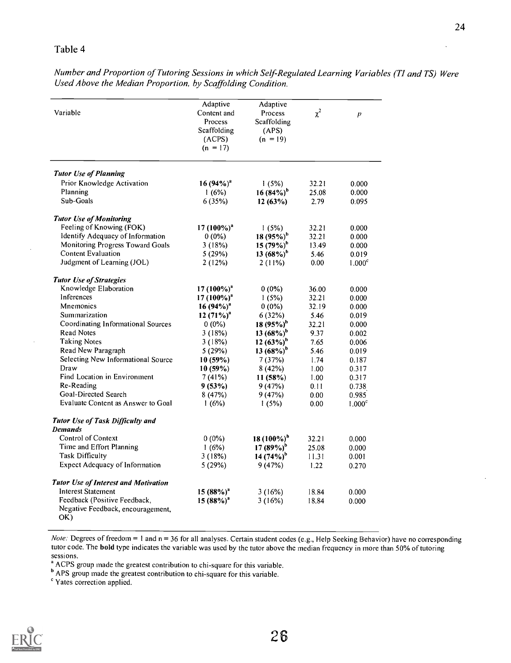Number and Proportion of Tutoring Sessions in which Self-Regulated Learning Variables (TI and TS) Were Used Above the Median Proportion, by Scaffolding Condition.

|                                             | Adaptive               | Adaptive               |          |                    |
|---------------------------------------------|------------------------|------------------------|----------|--------------------|
| Variable                                    | Content and            | Process                | $\chi^2$ | $\overline{p}$     |
|                                             | Process                | <b>Scaffolding</b>     |          |                    |
|                                             | Scaffolding            | (APS)                  |          |                    |
|                                             | (ACPS)                 | $(n = 19)$             |          |                    |
|                                             | $(n = 17)$             |                        |          |                    |
|                                             |                        |                        |          |                    |
| <b>Tutor Use of Planning</b>                |                        |                        |          |                    |
| Prior Knowledge Activation                  | 16 $(94\%)^a$          | 1(5%)                  | 32.21    | 0.000              |
| Planning                                    | 1(6%)                  | $16(84%)^b$            | 25.08    | 0.000              |
| Sub-Goals                                   | 6(35%)                 | 12(63%)                | 2.79     | 0.095              |
|                                             |                        |                        |          |                    |
| <b>Tutor Use of Monitoring</b>              |                        |                        |          |                    |
| Feeling of Knowing (FOK)                    | $17(100\%)^a$          | 1(5%)                  | 32.21    | 0.000              |
| Identify Adequacy of Information            | $0(0\%)$               | 18 (95%) <sup>b</sup>  | 32.21    | 0.000              |
| Monitoring Progress Toward Goals            | 3(18%)                 | 15 $(79\%)^b$          | 13.49    | 0.000              |
| <b>Content Evaluation</b>                   | 5(29%)                 | 13 $(68\%)^b$          | 5.46     | 0.019              |
| Judgment of Learning (JOL)                  | 2(12%)                 | $2(11\%)$              | 0.00     | 1.000 <sup>c</sup> |
| <b>Tutor Use of Strategies</b>              |                        |                        |          |                    |
| Knowledge Elaboration                       | 17 (100%) <sup>a</sup> | $0(0\%)$               | 36.00    | 0.000              |
| Inferences                                  | 17 $(100\%)^a$         | 1(5%)                  | 32.21    | 0.000              |
| <b>Mnemonics</b>                            | 16 $(94\%)^a$          | $0(0\%)$               | 32.19    | 0.000              |
| Summarization                               | 12 $(71\%)^a$          |                        |          |                    |
|                                             |                        | 6(32%)                 | 5.46     | 0.019              |
| Coordinating Informational Sources          | $0(0\%)$               | $18(95%)^b$            | 32.21    | 0.000              |
| <b>Read Notes</b>                           | 3(18%)                 | 13 $(68\%)^b$          | 9.37     | 0.002              |
| <b>Taking Notes</b>                         | 3(18%)                 | 12 $(63%)^b$           | 7.65     | 0.006              |
| Read New Paragraph                          | 5(29%)                 | $13(68%)^b$            | 5.46     | 0.019              |
| Selecting New Informational Source          | 10(59%)                | 7(37%)                 | 1.74     | 0.187              |
| Draw                                        | $10(59\%)$             | 8(42%)                 | 1.00     | 0.317              |
| Find Location in Environment                | 7(41%)                 | 11(58%)                | 1.00     | 0.317              |
| Re-Reading                                  | 9(53%)                 | 9(47%)                 | 0.11     | 0.738              |
| Goal-Directed Search                        | 8(47%)                 | 9(47%)                 | 0.00     | 0.985              |
| Evaluate Content as Answer to Goal          | 1(6%)                  | 1(5%)                  | 0.00     | 1.000 <sup>c</sup> |
| <b>Tutor Use of Task Difficulty and</b>     |                        |                        |          |                    |
| <b>Demands</b>                              |                        |                        |          |                    |
| Control of Context                          | $0(0\%)$               | 18 (100%) <sup>b</sup> | 32.21    | 0.000              |
| Time and Effort Planning                    | 1(6%)                  | $17(89\%)^b$           | 25.08    | 0.000              |
| <b>Task Difficulty</b>                      | 3(18%)                 | 14 $(74\%)^b$          | 11.31    | 0.001              |
| <b>Expect Adequacy of Information</b>       | 5(29%)                 | 9(47%)                 | 1.22     | 0.270              |
| <b>Tutor Use of Interest and Motivation</b> |                        |                        |          |                    |
| <b>Interest Statement</b>                   | $15(88%)^2$            | 3(16%)                 | 18.84    | 0.000              |
| Feedback (Positive Feedback,                | $15(88%)^2$            | 3(16%)                 | 18.84    | 0.000              |
| Negative Feedback, encouragement,           |                        |                        |          |                    |
|                                             |                        |                        |          |                    |

Note: Degrees of freedom = 1 and  $n = 36$  for all analyses. Certain student codes (e.g., Help Seeking Behavior) have no corresponding tutor code. The bold type indicates the variable was used by the tutor above the median frequency in more than 50% of tutoring sessions.

ACPS group made the greatest contribution to chi-square for this variable.

APS group made the greatest contribution to chi-square for this variable.

Yates correction applied.

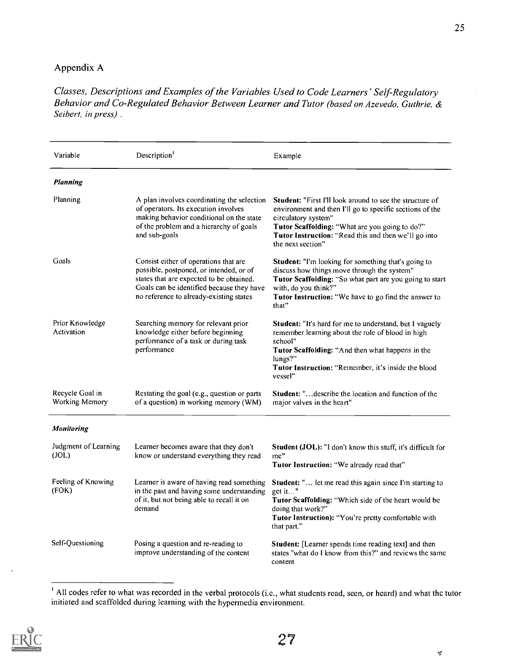# Appendix A

Classes, Descriptions and Examples of the Variables Used to Code Learners' Self Regulatory Behavior and Co-Regulated Behavior Between Learner and Tutor (based on Azevedo, Guthrie, & Seibert, in press) .

| Variable                          | Description <sup>1</sup>                                                                                                                                                                                             | Example                                                                                                                                                                                                                                                                           |
|-----------------------------------|----------------------------------------------------------------------------------------------------------------------------------------------------------------------------------------------------------------------|-----------------------------------------------------------------------------------------------------------------------------------------------------------------------------------------------------------------------------------------------------------------------------------|
| <b>Planning</b>                   |                                                                                                                                                                                                                      |                                                                                                                                                                                                                                                                                   |
| Planning                          | A plan involves coordinating the selection<br>of operators. Its execution involves<br>making behavior conditional on the state<br>of the problem and a hierarchy of goals<br>and sub-goals                           | <b>Student:</b> "First I'll look around to see the structure of<br>environment and then I'll go to specific sections of the<br>circulatory system"<br>Tutor Scaffolding: "What are you going to do?"<br>Tutor Instruction: "Read this and then we'll go into<br>the next section" |
| Goals                             | Consist either of operations that are<br>possible, postponed, or intended, or of<br>states that are expected to be obtained.<br>Goals can be identified because they have<br>no reference to already-existing states | Student: "I'm looking for something that's going to<br>discuss how things move through the system"<br>Tutor Scaffolding: "So what part are you going to start<br>with, do you think?"<br>Tutor Instruction: "We have to go find the answer to<br>that"                            |
| Prior Knowledge<br>Activation     | Searching memory for relevant prior<br>knowledge either before beginning<br>performance of a task or during task<br>performance                                                                                      | Student: "It's hard for me to understand, but I vaguely<br>remember learning about the role of blood in high<br>school"<br>Tutor Scaffolding: "And then what happens in the<br>lungs?"<br>Tutor Instruction: "Remember, it's inside the blood<br>vessel"                          |
| Recycle Goal in<br>Working Memory | Restating the goal (e.g., question or parts<br>of a question) in working memory (WM)                                                                                                                                 | <b>Student:</b> " describe the location and function of the<br>major valves in the heart"                                                                                                                                                                                         |
| Monitoring                        |                                                                                                                                                                                                                      |                                                                                                                                                                                                                                                                                   |
| Judgment of Learning<br>(JOL)     | Learner becomes aware that they don't<br>know or understand everything they read                                                                                                                                     | Student (JOL): "I don't know this stuff, it's difficult for<br>me"<br>Tutor Instruction: "We already read that"                                                                                                                                                                   |
| Feeling of Knowing<br>(FOK)       | Learner is aware of having read something<br>in the past and having some understanding<br>of it, but not being able to recall it on<br>demand                                                                        | <b>Student:</b> " let me read this again since I'm starting to<br>get it"<br>Tutor Scaffolding: "Which side of the heart would be<br>doing that work?"<br>Tutor Instruction): "You're pretty comfortable with<br>that part."                                                      |
| Self-Questioning                  | Posing a question and re-reading to<br>improve understanding of the content                                                                                                                                          | Student: [Learner spends time reading text] and then<br>states "what do I know from this?" and reviews the same<br>content                                                                                                                                                        |

<sup>&</sup>lt;sup>1</sup> All codes refer to what was recorded in the verbal protocols (i.e., what students read, seen, or heard) and what the tutor initiated and scaffolded during learning with the hypermedia environment.



 $\varphi$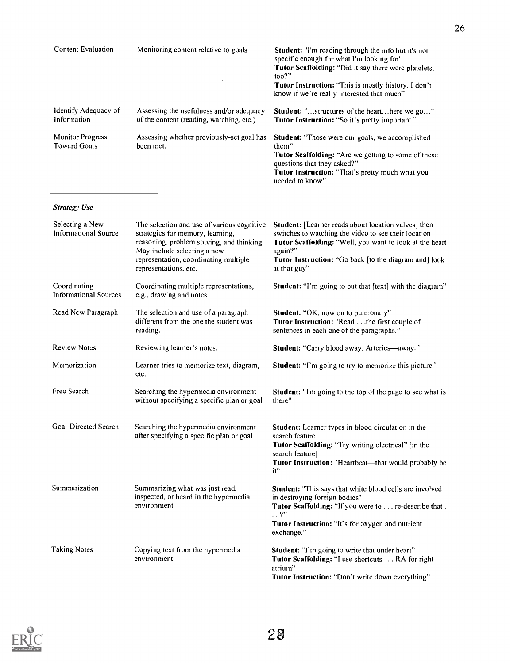| <b>Content Evaluation</b>                      | Monitoring content relative to goals.                                                | <b>Student:</b> "I'm reading through the info but it's not<br>specific enough for what I'm looking for"<br><b>Tutor Scaffolding:</b> "Did it say there were platelets.<br>$\text{too?}$ "<br><b>Tutor Instruction:</b> "This is mostly history. I don't<br>know if we're really interested that much" |
|------------------------------------------------|--------------------------------------------------------------------------------------|-------------------------------------------------------------------------------------------------------------------------------------------------------------------------------------------------------------------------------------------------------------------------------------------------------|
| Identify Adequacy of<br>Information            | Assessing the usefulness and/or adequacy<br>of the content (reading, watching, etc.) | <b>Student:</b> "structures of the hearthere we go"<br><b>Tutor Instruction:</b> "So it's pretty important."                                                                                                                                                                                          |
| <b>Monitor Progress</b><br><b>Toward Goals</b> | Assessing whether previously-set goal has<br>been met.                               | <b>Student:</b> "Those were our goals, we accomplished<br>them"<br><b>Tutor Scaffolding:</b> "Are we getting to some of these<br>questions that they asked?"<br><b>Tutor Instruction:</b> "That's pretty much what you<br>needed to know"                                                             |

26

 $\sim 10^{-1}$ 

#### Strategy Use

| Selecting a New<br><b>Informational Source</b> | The selection and use of various cognitive<br>strategies for memory, learning,<br>reasoning, problem solving, and thinking.<br>May include selecting a new<br>representation, coordinating multiple<br>representations, etc. | Student: [Learner reads about location valves] then<br>switches to watching the video to see their location<br>Tutor Scaffolding: "Well, you want to look at the heart<br>again?"<br>Tutor Instruction: "Go back [to the diagram and] look<br>at that guy" |
|------------------------------------------------|------------------------------------------------------------------------------------------------------------------------------------------------------------------------------------------------------------------------------|------------------------------------------------------------------------------------------------------------------------------------------------------------------------------------------------------------------------------------------------------------|
| Coordinating<br>Informational Sources          | Coordinating multiple representations,<br>e.g., drawing and notes.                                                                                                                                                           | <b>Student:</b> "I'm going to put that [text] with the diagram"                                                                                                                                                                                            |
| Read New Paragraph                             | The selection and use of a paragraph<br>different from the one the student was<br>reading.                                                                                                                                   | Student: "OK, now on to pulmonary"<br>Tutor Instruction: "Read the first couple of<br>sentences in each one of the paragraphs."                                                                                                                            |
| <b>Review Notes</b>                            | Reviewing learner's notes.                                                                                                                                                                                                   | Student: "Carry blood away. Arteries-away."                                                                                                                                                                                                                |
| Memorization                                   | Learner tries to memorize text, diagram,<br>etc.                                                                                                                                                                             | <b>Student:</b> "I'm going to try to memorize this picture"                                                                                                                                                                                                |
| Free Search                                    | Searching the hypermedia environment<br>without specifying a specific plan or goal                                                                                                                                           | <b>Student:</b> "I'm going to the top of the page to see what is<br>there"                                                                                                                                                                                 |
| Goal-Directed Search                           | Searching the hypermedia environment<br>after specifying a specific plan or goal                                                                                                                                             | Student: Learner types in blood circulation in the<br>search feature<br>Tutor Scaffolding: "Try writing electrical" [in the<br>search feature]<br>Tutor Instruction: "Heartbeat-that would probably be<br>it"                                              |
| Summarization                                  | Summarizing what was just read,<br>inspected, or heard in the hypermedia<br>environment                                                                                                                                      | Student: "This says that white blood cells are involved<br>in destroying foreign bodies"<br>Tutor Scaffolding: "If you were to re-describe that .<br>$\ldots$ ?"<br>Tutor Instruction: "It's for oxygen and nutrient<br>exchange."                         |
| <b>Taking Notes</b>                            | Copying text from the hypermedia<br>environment                                                                                                                                                                              | Student: "I'm going to write that under heart"<br>Tutor Scaffolding: "I use shortcuts RA for right<br>atrium"<br>Tutor Instruction: "Don't write down everything"                                                                                          |

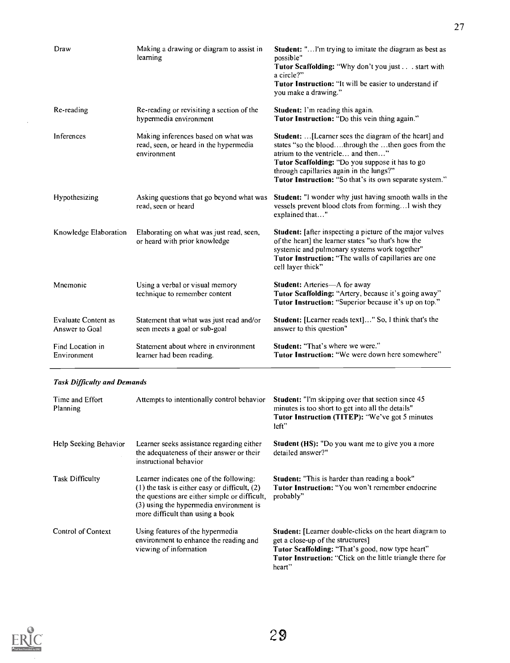| Draw                                         | Making a drawing or diagram to assist in<br>learning                                         | <b>Student:</b> "I'm trying to imitate the diagram as best as<br>possible"<br>Tutor Scaffolding: "Why don't you just start with<br>a circle?"<br><b>Tutor Instruction:</b> "It will be easier to understand if<br>you make a drawing."                                                                           |
|----------------------------------------------|----------------------------------------------------------------------------------------------|------------------------------------------------------------------------------------------------------------------------------------------------------------------------------------------------------------------------------------------------------------------------------------------------------------------|
| Re-reading                                   | Re-reading or revisiting a section of the<br>hypermedia environment                          | <b>Student:</b> I'm reading this again.<br>Tutor Instruction: "Do this vein thing again."                                                                                                                                                                                                                        |
| Inferences                                   | Making inferences based on what was<br>read, seen, or heard in the hypermedia<br>environment | <b>Student:</b> [Learner sees the diagram of the heart] and<br>states "so the bloodthrough the then goes from the<br>atrium to the ventricle and then"<br>Tutor Scaffolding: "Do you suppose it has to go<br>through capillaries again in the lungs?"<br>Tutor Instruction: "So that's its own separate system." |
| Hypothesizing                                | Asking questions that go beyond what was<br>read, seen or heard                              | Student: "I wonder why just having smooth walls in the<br>vessels prevent blood clots from forming I wish they<br>explained that"                                                                                                                                                                                |
| Knowledge Elaboration                        | Elaborating on what was just read, seen,<br>or heard with prior knowledge                    | <b>Student:</b> [after inspecting a picture of the major valves<br>of the heart] the learner states "so that's how the<br>systemic and pulmonary systems work together"<br><b>Tutor Instruction:</b> "The walls of capillaries are one<br>cell layer thick"                                                      |
| Mnemonic                                     | Using a verbal or visual memory<br>technique to remember content                             | Student: Arteries-A for away<br>Tutor Scaffolding: "Artery, because it's going away"<br><b>Tutor Instruction:</b> "Superior because it's up on top."                                                                                                                                                             |
| <b>Evaluate Content as</b><br>Answer to Goal | Statement that what was just read and/or<br>seen meets a goal or sub-goal                    | Student: [Learner reads text]" So, I think that's the<br>answer to this question"                                                                                                                                                                                                                                |
| Find Location in<br>Environment              | Statement about where in environment<br>learner had been reading.                            | <b>Student: "That's where we were."</b><br>Tutor Instruction: "We were down here somewhere"                                                                                                                                                                                                                      |

### Task Difficulty and Demands

| Time and Effort<br>Planning | Attempts to intentionally control behavior                                                                                                                                                                                   | <b>Student:</b> "I'm skipping over that section since 45<br>minutes is too short to get into all the details"<br>Tutor Instruction (TITEP): "We've got 5 minutes<br>left"                                                              |
|-----------------------------|------------------------------------------------------------------------------------------------------------------------------------------------------------------------------------------------------------------------------|----------------------------------------------------------------------------------------------------------------------------------------------------------------------------------------------------------------------------------------|
| Help Seeking Behavior       | Learner seeks assistance regarding either<br>the adequateness of their answer or their<br>instructional behavior                                                                                                             | <b>Student (HS):</b> "Do you want me to give you a more"<br>detailed answer?"                                                                                                                                                          |
| <b>Task Difficulty</b>      | Learner indicates one of the following:<br>$(1)$ the task is either easy or difficult, $(2)$<br>the questions are either simple or difficult,<br>(3) using the hypermedia environment is<br>more difficult than using a book | <b>Student:</b> "This is harder than reading a book"<br><b>Tutor Instruction:</b> "You won't remember endocrine<br>probably"                                                                                                           |
| Control of Context          | Using features of the hypermedia<br>environment to enhance the reading and<br>viewing of information                                                                                                                         | <b>Student:</b> [Learner double-clicks on the heart diagram to<br>get a close-up of the structures]<br>Tutor Scaffolding: "That's good, now type heart"<br><b>Tutor Instruction:</b> "Click on the little triangle there for<br>heart" |



 $\sim$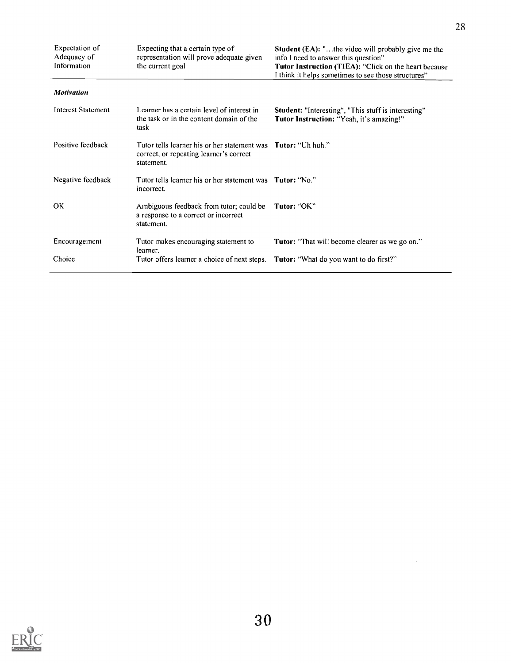| Expectation of<br>Adequacy of<br>Information | Expecting that a certain type of<br>representation will prove adequate given<br>the current goal                               | <b>Student (EA):</b> "the video will probably give me the<br>info I need to answer this question"<br>Tutor Instruction (TIEA): "Click on the heart because<br>I think it helps sometimes to see those structures" |
|----------------------------------------------|--------------------------------------------------------------------------------------------------------------------------------|-------------------------------------------------------------------------------------------------------------------------------------------------------------------------------------------------------------------|
| <b>Motivation</b>                            |                                                                                                                                |                                                                                                                                                                                                                   |
| <b>Interest Statement</b>                    | Learner has a certain level of interest in<br>the task or in the content domain of the<br>task                                 | Student: "Interesting", "This stuff is interesting"<br>Tutor Instruction: "Yeah, it's amazing!"                                                                                                                   |
| Positive feedback                            | Tutor tells learner his or her statement was <b>Tutor</b> : "Uh huh."<br>correct, or repeating learner's correct<br>statement. |                                                                                                                                                                                                                   |
| Negative feedback                            | Tutor tells learner his or her statement was <b>Tutor:</b> "No."<br>incorrect.                                                 |                                                                                                                                                                                                                   |
| <b>OK</b>                                    | Ambiguous feedback from tutor; could be<br>a response to a correct or incorrect<br>statement.                                  | Tutor: "OK"                                                                                                                                                                                                       |
| Encouragement                                | Tutor makes encouraging statement to<br>learner.                                                                               | <b>Tutor:</b> "That will become clearer as we go on."                                                                                                                                                             |
| Choice                                       | Tutor offers learner a choice of next steps.                                                                                   | <b>Tutor:</b> "What do you want to do first?"                                                                                                                                                                     |

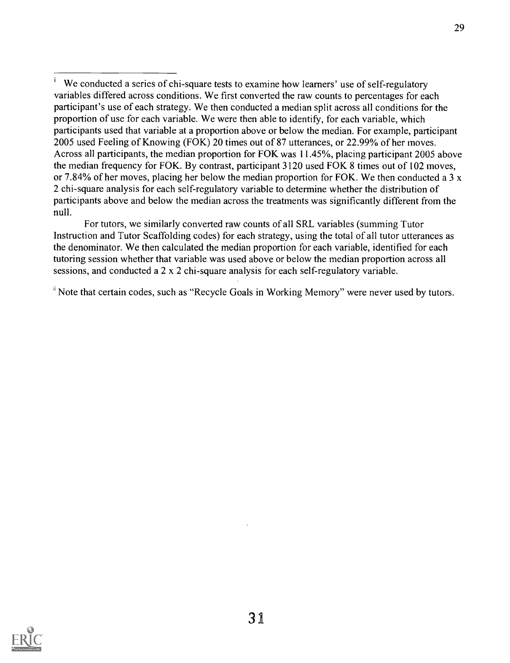For tutors, we similarly converted raw counts of all SRL variables (summing Tutor Instruction and Tutor Scaffolding codes) for each strategy, using the total of all tutor utterances as the denominator. We then calculated the median proportion for each variable, identified for each tutoring session whether that variable was used above or below the median proportion across all sessions, and conducted a 2 x 2 chi-square analysis for each self-regulatory variable.

<sup>ii</sup> Note that certain codes, such as "Recycle Goals in Working Memory" were never used by tutors.



We conducted a series of chi-square tests to examine how learners' use of self-regulatory variables differed across conditions. We first converted the raw counts to percentages for each participant's use of each strategy. We then conducted a median split across all conditions for the proportion of use for each variable. We were then able to identify, for each variable, which participants used that variable at a proportion above or below the median. For example, participant 2005 used Feeling of Knowing (FOK) 20 times out of 87 utterances, or 22.99% of her moves. Across all participants, the median proportion for FOK was 11.45%, placing participant 2005 above the median frequency for FOK. By contrast, participant 3120 used FOK 8 times out of 102 moves, or 7.84% of her moves, placing her below the median proportion for FOK. We then conducted a 3  $x$ 2 chi-square analysis for each self-regulatory variable to determine whether the distribution of participants above and below the median across the treatments was significantly different from the null.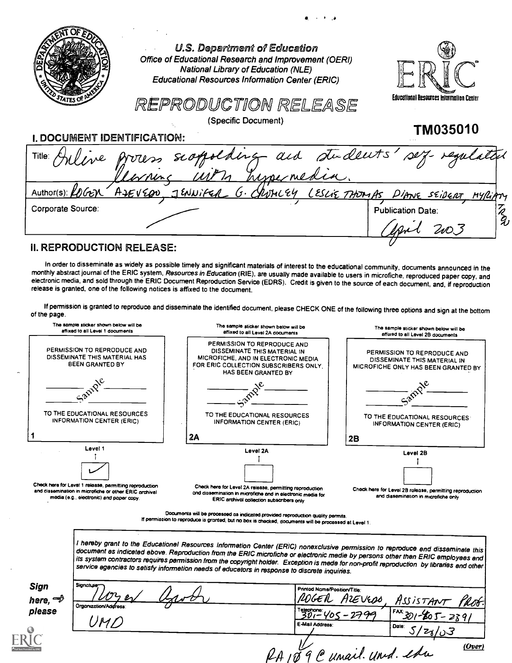|                             | <b>U.S. Department of Education</b><br>Office of Educational Research and Improvement (OERI)<br>National Library of Education (NLE)<br><b>Educational Resources Information Center (ERIC)</b> |                                          |
|-----------------------------|-----------------------------------------------------------------------------------------------------------------------------------------------------------------------------------------------|------------------------------------------|
|                             | REPRODUCTION RELEASE                                                                                                                                                                          | Educational Resources Information Center |
|                             | (Specific Document)                                                                                                                                                                           | TM035010                                 |
| I. DOCUMENT IDENTIFICATION: |                                                                                                                                                                                               |                                          |
| Title:                      | scopolding and students'                                                                                                                                                                      |                                          |
| Author(s): LOGEN            | ASEVEDO JENNIFER G. CROMLEY LESLIE THOMAS                                                                                                                                                     | DIANE SEIDERT MYRIAM                     |
| Corporate Source:           |                                                                                                                                                                                               | <b>Publication Date:</b>                 |
|                             |                                                                                                                                                                                               |                                          |
| <b>DEDDANIATIO</b>          |                                                                                                                                                                                               |                                          |

وراجات

#### II. REPRODUCTION RELEASE:

In order to disseminate as widely as possible timely and significant materials of interest to the educational community, documents announced in the<br>monthly abstract journal of the ERIC system, Resources in Education (RIE), electronic media, and sold through the ERIC Document Reproduction Service (EDRS). Credit is given to the source of each document, and, if reproduction release is granted, one of the following notices is affixed to the docu

If permission is granted to reproduce and disseminate the identified document, please CHECK ONE of the following three options and sign at the bottom of the page.

| The sample sticker shown below will be<br>affixed to all Level 1 documents                                                                                               | The sample sticker shown below will be<br>affixed to all Level 2A documents                                                                                                                                                                                                                                                                                                                                                                                                                                                                                                                                                                                                                                                                                                                      | The sample sticker shown below will be<br>affixed to all Level 2B documents                                  |
|--------------------------------------------------------------------------------------------------------------------------------------------------------------------------|--------------------------------------------------------------------------------------------------------------------------------------------------------------------------------------------------------------------------------------------------------------------------------------------------------------------------------------------------------------------------------------------------------------------------------------------------------------------------------------------------------------------------------------------------------------------------------------------------------------------------------------------------------------------------------------------------------------------------------------------------------------------------------------------------|--------------------------------------------------------------------------------------------------------------|
| PERMISSION TO REPRODUCE AND<br>DISSEMINATE THIS MATERIAL HAS<br>BEEN GRANTED BY                                                                                          | PERMISSION TO REPRODUCE AND<br>DISSEMINATE THIS MATERIAL IN<br>MICROFICHE, AND IN ELECTRONIC MEDIA<br>FOR ERIC COLLECTION SUBSCRIBERS ONLY.<br>HAS BEEN GRANTED BY                                                                                                                                                                                                                                                                                                                                                                                                                                                                                                                                                                                                                               | PERMISSION TO REPRODUCE AND<br>DISSEMINATE THIS MATERIAL IN<br>MICROFICHE ONLY HAS BEEN GRANTED BY           |
|                                                                                                                                                                          |                                                                                                                                                                                                                                                                                                                                                                                                                                                                                                                                                                                                                                                                                                                                                                                                  |                                                                                                              |
| TO THE EDUCATIONAL RESOURCES<br>INFORMATION CENTER (ERIC)                                                                                                                | TO THE EDUCATIONAL RESOURCES<br><b>INFORMATION CENTER (ERIC)</b>                                                                                                                                                                                                                                                                                                                                                                                                                                                                                                                                                                                                                                                                                                                                 | TO THE EDUCATIONAL RESOURCES<br><b>INFORMATION CENTER (ERIC)</b>                                             |
|                                                                                                                                                                          | 2A                                                                                                                                                                                                                                                                                                                                                                                                                                                                                                                                                                                                                                                                                                                                                                                               | 2B                                                                                                           |
| Level 1<br>Check here for Level 1 release, permitting reproduction<br>and dissemination in microfiche or other ERIC prchival<br>media (e.g., electronic) and poper copy. | Level 2A<br>Check here for Level 2A release, permitting reproduction<br>and dissemination in microfiche and in electronic media for<br>ERIC archival collection subscribers only<br>Documents will be processed as indicated provided reproduction quality permits.<br>If permission to reproduce is granted, but no box is checked, documents will be processed at Level 1.<br>I hereby grant to the Educationel Resources Informetion Center (ERIC) nonexclusive permission to reproduce end disseminete this<br>document es indiceted ebove. Reproduction from the ERIC microfiche or electronic medie by persons other then ERIC employees end<br>its system contractors requires permission from the copyright holder. Exception is mede for non-profit reproduction by libraries end other | Level 2B<br>Check here for Level 2B rolease, permitting reproduction<br>and dissemination in microfiche only |
| Signature<br>Sign                                                                                                                                                        | service egencies to setisfy informetion needs of educetors in response to discrete inquiries.<br>Printed Name/Position/Title:                                                                                                                                                                                                                                                                                                                                                                                                                                                                                                                                                                                                                                                                    |                                                                                                              |
| here, w<br>Organization/Address:<br>please                                                                                                                               | Telephone:<br>301-Y05                                                                                                                                                                                                                                                                                                                                                                                                                                                                                                                                                                                                                                                                                                                                                                            | AIEVEOO<br>ASSISTANT                                                                                         |